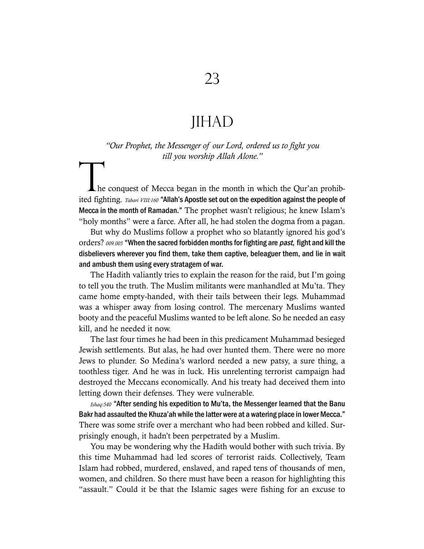*"Our Prophet, the Messenger of our Lord, ordered us to fight you till you worship Allah Alone."*

 $\blacksquare$  he conquest of Mecca began in the month in which the Qur'an prohibited fighting. *Tabari VIII:160* "Allah's Apostle set out on the expedition against the people of Mecca in the month of Ramadan." The prophet wasn't religious; he knew Islam's "holy months" were a farce. After all, he had stolen the dogma from a pagan.

But why do Muslims follow a prophet who so blatantly ignored his god's orders? *009.005* "When the sacred forbidden months for fighting are past, fight and kill the disbelievers wherever you find them, take them captive, beleaguer them, and lie in wait and ambush them using every stratagem of war.

The Hadith valiantly tries to explain the reason for the raid, but I'm going to tell you the truth. The Muslim militants were manhandled at Mu'ta. They came home empty-handed, with their tails between their legs. Muhammad was a whisper away from losing control. The mercenary Muslims wanted booty and the peaceful Muslims wanted to be left alone. So he needed an easy kill, and he needed it now.

The last four times he had been in this predicament Muhammad besieged Jewish settlements. But alas, he had over hunted them. There were no more Jews to plunder. So Medina's warlord needed a new patsy, a sure thing, a toothless tiger. And he was in luck. His unrelenting terrorist campaign had destroyed the Meccans economically. And his treaty had deceived them into letting down their defenses. They were vulnerable.

*Ishaq:540* "After sending his expedition to Mu'ta, the Messenger learned that the Banu Bakr had assaulted the Khuza'ah while the latter were at a watering place in lower Mecca." There was some strife over a merchant who had been robbed and killed. Surprisingly enough, it hadn't been perpetrated by a Muslim.

You may be wondering why the Hadith would bother with such trivia. By this time Muhammad had led scores of terrorist raids. Collectively, Team Islam had robbed, murdered, enslaved, and raped tens of thousands of men, women, and children. So there must have been a reason for highlighting this "assault." Could it be that the Islamic sages were fishing for an excuse to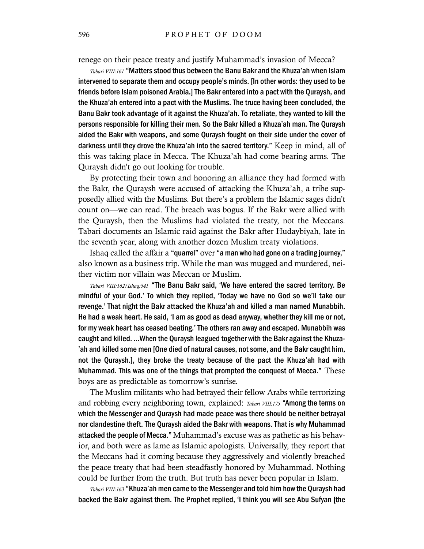renege on their peace treaty and justify Muhammad's invasion of Mecca?

*Tabari VIII:161* "Matters stood thus between the Banu Bakr and the Khuza'ah when Islam intervened to separate them and occupy people's minds. [In other words: they used to be friends before Islam poisoned Arabia.] The Bakr entered into a pact with the Quraysh, and the Khuza'ah entered into a pact with the Muslims. The truce having been concluded, the Banu Bakr took advantage of it against the Khuza'ah. To retaliate, they wanted to kill the persons responsible for killing their men. So the Bakr killed a Khuza'ah man. The Quraysh aided the Bakr with weapons, and some Quraysh fought on their side under the cover of darkness until they drove the Khuza'ah into the sacred territory." Keep in mind, all of this was taking place in Mecca. The Khuza'ah had come bearing arms. The Quraysh didn't go out looking for trouble.

By protecting their town and honoring an alliance they had formed with the Bakr, the Quraysh were accused of attacking the Khuza'ah, a tribe supposedly allied with the Muslims. But there's a problem the Islamic sages didn't count on—we can read. The breach was bogus. If the Bakr were allied with the Quraysh, then the Muslims had violated the treaty, not the Meccans. Tabari documents an Islamic raid against the Bakr after Hudaybiyah, late in the seventh year, along with another dozen Muslim treaty violations.

Ishaq called the affair a "quarrel" over "a man who had gone on a trading journey," also known as a business trip. While the man was mugged and murdered, neither victim nor villain was Meccan or Muslim.

*Tabari VIII:162/Ishaq:541* "The Banu Bakr said, 'We have entered the sacred territory. Be mindful of your God.' To which they replied, 'Today we have no God so we'll take our revenge.' That night the Bakr attacked the Khuza'ah and killed a man named Munabbih. He had a weak heart. He said, 'I am as good as dead anyway, whether they kill me or not, for my weak heart has ceased beating.' The others ran away and escaped. Munabbih was caught and killed. …When the Quraysh leagued together with the Bakr against the Khuza- 'ah and killed some men [One died of natural causes, not some, and the Bakr caught him, not the Quraysh.], they broke the treaty because of the pact the Khuza'ah had with Muhammad. This was one of the things that prompted the conquest of Mecca." These boys are as predictable as tomorrow's sunrise.

The Muslim militants who had betrayed their fellow Arabs while terrorizing and robbing every neighboring town, explained: *Tabari VIII:175* "Among the terms on which the Messenger and Quraysh had made peace was there should be neither betrayal nor clandestine theft. The Quraysh aided the Bakr with weapons. That is why Muhammad attacked the people of Mecca." Muhammad's excuse was as pathetic as his behavior, and both were as lame as Islamic apologists. Universally, they report that the Meccans had it coming because they aggressively and violently breached the peace treaty that had been steadfastly honored by Muhammad. Nothing could be further from the truth. But truth has never been popular in Islam.

*Tabari VIII:163* "Khuza'ah men came to the Messenger and told him how the Quraysh had backed the Bakr against them. The Prophet replied, 'I think you will see Abu Sufyan [the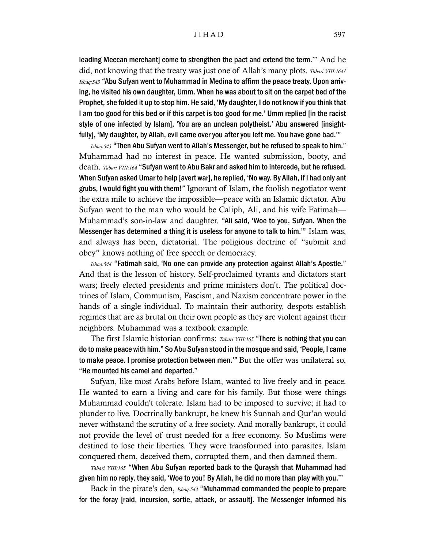leading Meccan merchant] come to strengthen the pact and extend the term." And he did, not knowing that the treaty was just one of Allah's many plots. *Tabari VIII:164/ Ishaq:543* "Abu Sufyan went to Muhammad in Medina to affirm the peace treaty. Upon arriving, he visited his own daughter, Umm. When he was about to sit on the carpet bed of the Prophet, she folded it up to stop him. He said, 'My daughter, I do not know if you think that I am too good for this bed or if this carpet is too good for me.' Umm replied [in the racist style of one infected by Islam], 'You are an unclean polytheist.' Abu answered [insightfully], 'My daughter, by Allah, evil came over you after you left me. You have gone bad.'"

*Ishaq:543* "Then Abu Sufyan went to Allah's Messenger, but he refused to speak to him." Muhammad had no interest in peace. He wanted submission, booty, and death. *Tabari VIII:164* "Sufyan went to Abu Bakr and asked him to intercede, but he refused. When Sufyan asked Umar to help [avert war], he replied, 'No way. By Allah, if I had only ant grubs, I would fight you with them!" Ignorant of Islam, the foolish negotiator went the extra mile to achieve the impossible—peace with an Islamic dictator. Abu Sufyan went to the man who would be Caliph, Ali, and his wife Fatimah— Muhammad's son-in-law and daughter. "Ali said, 'Woe to you, Sufyan. When the Messenger has determined a thing it is useless for anyone to talk to him.'" Islam was, and always has been, dictatorial. The poligious doctrine of "submit and obey" knows nothing of free speech or democracy.

*Ishaq:544* "Fatimah said, 'No one can provide any protection against Allah's Apostle." And that is the lesson of history. Self-proclaimed tyrants and dictators start wars; freely elected presidents and prime ministers don't. The political doctrines of Islam, Communism, Fascism, and Nazism concentrate power in the hands of a single individual. To maintain their authority, despots establish regimes that are as brutal on their own people as they are violent against their neighbors. Muhammad was a textbook example.

The first Islamic historian confirms: *Tabari VIII:165* "There is nothing that you can do to make peace with him." So Abu Sufyan stood in the mosque and said, 'People, I came to make peace. I promise protection between men.'" But the offer was unilateral so, "He mounted his camel and departed."

Sufyan, like most Arabs before Islam, wanted to live freely and in peace. He wanted to earn a living and care for his family. But those were things Muhammad couldn't tolerate. Islam had to be imposed to survive; it had to plunder to live. Doctrinally bankrupt, he knew his Sunnah and Qur'an would never withstand the scrutiny of a free society. And morally bankrupt, it could not provide the level of trust needed for a free economy. So Muslims were destined to lose their liberties. They were transformed into parasites. Islam conquered them, deceived them, corrupted them, and then damned them.

*Tabari VIII:165* "When Abu Sufyan reported back to the Quraysh that Muhammad had given him no reply, they said, 'Woe to you! By Allah, he did no more than play with you.'"

Back in the pirate's den, *Ishaq:544* "Muhammad commanded the people to prepare for the foray [raid, incursion, sortie, attack, or assault]. The Messenger informed his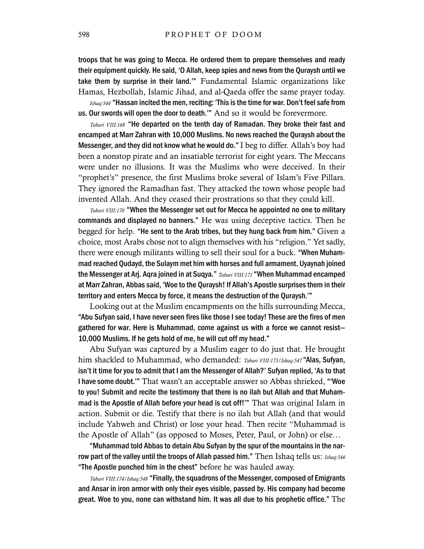troops that he was going to Mecca. He ordered them to prepare themselves and ready their equipment quickly. He said, 'O Allah, keep spies and news from the Quraysh until we take them by surprise in their land.'" Fundamental Islamic organizations like Hamas, Hezbollah, Islamic Jihad, and al-Qaeda offer the same prayer today.

*Ishaq:544* "Hassan incited the men, reciting: 'This is the time for war. Don't feel safe from us. Our swords will open the door to death.'" And so it would be forevermore.

*Tabari VIII:168* "He departed on the tenth day of Ramadan. They broke their fast and encamped at Marr Zahran with 10,000 Muslims. No news reached the Quraysh about the Messenger, and they did not know what he would do." I beg to differ. Allah's boy had been a nonstop pirate and an insatiable terrorist for eight years. The Meccans were under no illusions. It was the Muslims who were deceived. In their "prophet's" presence, the first Muslims broke several of Islam's Five Pillars. They ignored the Ramadhan fast. They attacked the town whose people had invented Allah. And they ceased their prostrations so that they could kill.

*Tabari VIII:170* "When the Messenger set out for Mecca he appointed no one to military commands and displayed no banners." He was using deceptive tactics. Then he begged for help. "He sent to the Arab tribes, but they hung back from him." Given a choice, most Arabs chose not to align themselves with his "religion." Yet sadly, there were enough militants willing to sell their soul for a buck. "When Muhammad reached Qudayd, the Sulaym met him with horses and full armament. Uyaynah joined the Messenger at Arj. Aqra joined in at Suqya." *Tabari VIII:171* "When Muhammad encamped at Marr Zahran, Abbas said, 'Woe to the Quraysh! If Allah's Apostle surprises them in their territory and enters Mecca by force, it means the destruction of the Quraysh.'"

Looking out at the Muslim encampments on the hills surrounding Mecca, "Abu Sufyan said, I have never seen fires like those I see today! These are the fires of men gathered for war. Here is Muhammad, come against us with a force we cannot resist— 10,000 Muslims. If he gets hold of me, he will cut off my head."

Abu Sufyan was captured by a Muslim eager to do just that. He brought him shackled to Muhammad, who demanded: *Tabari VIII:173/Ishaq:547* "Alas, Sufyan, isn't it time for you to admit that I am the Messenger of Allah?' Sufyan replied, 'As to that I have some doubt.'" That wasn't an acceptable answer so Abbas shrieked, "'Woe to you! Submit and recite the testimony that there is no ilah but Allah and that Muhammad is the Apostle of Allah before your head is cut off!'" That was original Islam in action. Submit or die. Testify that there is no ilah but Allah (and that would include Yahweh and Christ) or lose your head. Then recite "Muhammad is the Apostle of Allah" (as opposed to Moses, Peter, Paul, or John) or else…

"Muhammad told Abbas to detain Abu Sufyan by the spur of the mountains in the narrow part of the valley until the troops of Allah passed him." Then Ishaq tells us: *Ishaq:546* "The Apostle punched him in the chest" before he was hauled away.

*Tabari VIII:174/Ishaq:548* "Finally, the squadrons of the Messenger, composed of Emigrants and Ansar in iron armor with only their eyes visible, passed by. His company had become great. Woe to you, none can withstand him. It was all due to his prophetic office." The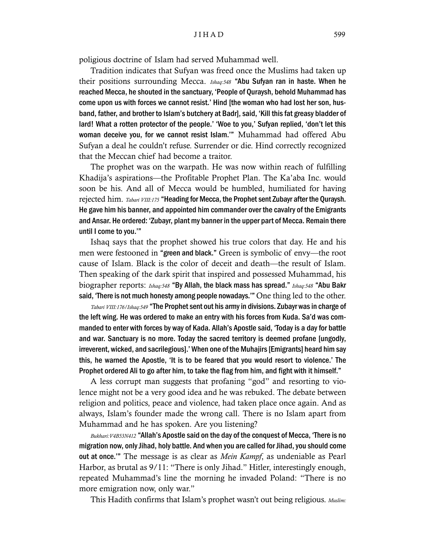poligious doctrine of Islam had served Muhammad well.

Tradition indicates that Sufyan was freed once the Muslims had taken up their positions surrounding Mecca. *Ishaq:548* "Abu Sufyan ran in haste. When he reached Mecca, he shouted in the sanctuary, 'People of Quraysh, behold Muhammad has come upon us with forces we cannot resist.' Hind [the woman who had lost her son, husband, father, and brother to Islam's butchery at Badr], said, 'Kill this fat greasy bladder of lard! What a rotten protector of the people.' 'Woe to you,' Sufyan replied, 'don't let this woman deceive you, for we cannot resist Islam.'" Muhammad had offered Abu Sufyan a deal he couldn't refuse. Surrender or die. Hind correctly recognized that the Meccan chief had become a traitor.

The prophet was on the warpath. He was now within reach of fulfilling Khadija's aspirations—the Profitable Prophet Plan. The Ka'aba Inc. would soon be his. And all of Mecca would be humbled, humiliated for having rejected him. *Tabari VIII:175* "Heading for Mecca, the Prophet sent Zubayr after the Quraysh. He gave him his banner, and appointed him commander over the cavalry of the Emigrants and Ansar. He ordered: 'Zubayr, plant my banner in the upper part of Mecca. Remain there until I come to you.'"

Ishaq says that the prophet showed his true colors that day. He and his men were festooned in "green and black." Green is symbolic of envy—the root cause of Islam. Black is the color of deceit and death—the result of Islam. Then speaking of the dark spirit that inspired and possessed Muhammad, his biographer reports: *Ishaq:548* "By Allah, the black mass has spread." *Ishaq:548* "Abu Bakr said, 'There is not much honesty among people nowadays.'" One thing led to the other.

*Tabari VIII:176/Ishaq:549* "The Prophet sent out his army in divisions. Zubayr was in charge of the left wing. He was ordered to make an entry with his forces from Kuda. Sa'd was commanded to enter with forces by way of Kada. Allah's Apostle said, 'Today is a day for battle and war. Sanctuary is no more. Today the sacred territory is deemed profane [ungodly, irreverent, wicked, and sacrilegious].' When one of the Muhajirs [Emigrants] heard him say this, he warned the Apostle, 'It is to be feared that you would resort to violence.' The Prophet ordered Ali to go after him, to take the flag from him, and fight with it himself."

A less corrupt man suggests that profaning "god" and resorting to violence might not be a very good idea and he was rebuked. The debate between religion and politics, peace and violence, had taken place once again. And as always, Islam's founder made the wrong call. There is no Islam apart from Muhammad and he has spoken. Are you listening?

*Bukhari:V4B53N412* "Allah's Apostle said on the day of the conquest of Mecca, 'There is no migration now, only Jihad, holy battle. And when you are called for Jihad, you should come out at once.'" The message is as clear as *Mein Kampf*, as undeniable as Pearl Harbor, as brutal as 9/11: "There is only Jihad." Hitler, interestingly enough, repeated Muhammad's line the morning he invaded Poland: "There is no more emigration now, only war."

This Hadith confirms that Islam's prophet wasn't out being religious. *Muslim:*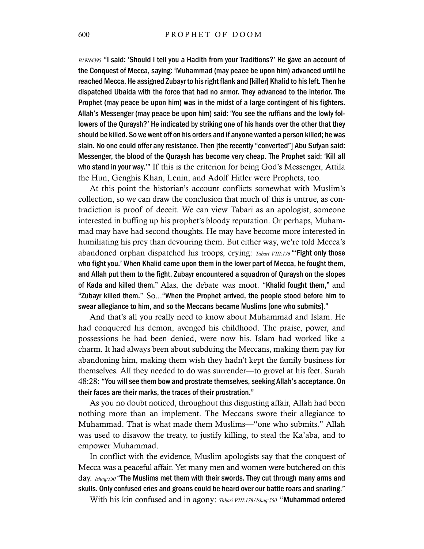*B19N4395* "I said: 'Should I tell you a Hadith from your Traditions?' He gave an account of the Conquest of Mecca, saying: 'Muhammad (may peace be upon him) advanced until he reached Mecca. He assigned Zubayr to his right flank and [killer] Khalid to his left. Then he dispatched Ubaida with the force that had no armor. They advanced to the interior. The Prophet (may peace be upon him) was in the midst of a large contingent of his fighters. Allah's Messenger (may peace be upon him) said: 'You see the ruffians and the lowly followers of the Quraysh?' He indicated by striking one of his hands over the other that they should be killed. So we went off on his orders and if anyone wanted a person killed; he was slain. No one could offer any resistance. Then [the recently "converted"] Abu Sufyan said: Messenger, the blood of the Quraysh has become very cheap. The Prophet said: 'Kill all who stand in your way.'" If this is the criterion for being God's Messenger, Attila the Hun, Genghis Khan, Lenin, and Adolf Hitler were Prophets, too.

At this point the historian's account conflicts somewhat with Muslim's collection, so we can draw the conclusion that much of this is untrue, as contradiction is proof of deceit. We can view Tabari as an apologist, someone interested in buffing up his prophet's bloody reputation. Or perhaps, Muhammad may have had second thoughts. He may have become more interested in humiliating his prey than devouring them. But either way, we're told Mecca's abandoned orphan dispatched his troops, crying: *Tabari VIII:176* "'Fight only those who fight you.' When Khalid came upon them in the lower part of Mecca, he fought them, and Allah put them to the fight. Zubayr encountered a squadron of Quraysh on the slopes of Kada and killed them." Alas, the debate was moot. "Khalid fought them," and "Zubayr killed them." So..."When the Prophet arrived, the people stood before him to swear allegiance to him, and so the Meccans became Muslims [one who submits]."

And that's all you really need to know about Muhammad and Islam. He had conquered his demon, avenged his childhood. The praise, power, and possessions he had been denied, were now his. Islam had worked like a charm. It had always been about subduing the Meccans, making them pay for abandoning him, making them wish they hadn't kept the family business for themselves. All they needed to do was surrender—to grovel at his feet. Surah 48:28: "You will see them bow and prostrate themselves, seeking Allah's acceptance. On their faces are their marks, the traces of their prostration."

As you no doubt noticed, throughout this disgusting affair, Allah had been nothing more than an implement. The Meccans swore their allegiance to Muhammad. That is what made them Muslims—"one who submits." Allah was used to disavow the treaty, to justify killing, to steal the Ka'aba, and to empower Muhammad.

In conflict with the evidence, Muslim apologists say that the conquest of Mecca was a peaceful affair. Yet many men and women were butchered on this day. *Ishaq:550* "The Muslims met them with their swords. They cut through many arms and skulls. Only confused cries and groans could be heard over our battle roars and snarling."

With his kin confused and in agony: *Tabari VIII:178/Ishaq:550* "Muhammad ordered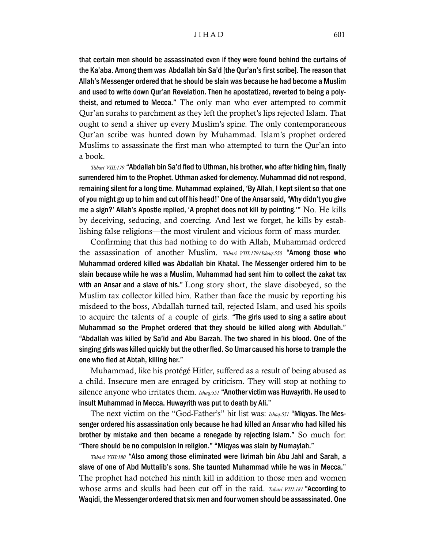that certain men should be assassinated even if they were found behind the curtains of the Ka'aba. Among them was Abdallah bin Sa'd [the Qur'an's first scribe]. The reason that Allah's Messenger ordered that he should be slain was because he had become a Muslim and used to write down Qur'an Revelation. Then he apostatized, reverted to being a polytheist, and returned to Mecca." The only man who ever attempted to commit Qur'an surahs to parchment as they left the prophet's lips rejected Islam. That ought to send a shiver up every Muslim's spine. The only contemporaneous Qur'an scribe was hunted down by Muhammad. Islam's prophet ordered Muslims to assassinate the first man who attempted to turn the Qur'an into a book.

*Tabari VIII:179* "Abdallah bin Sa'd fled to Uthman, his brother, who after hiding him, finally surrendered him to the Prophet. Uthman asked for clemency. Muhammad did not respond, remaining silent for a long time. Muhammad explained, 'By Allah, I kept silent so that one of you might go up to him and cut off his head!' One of the Ansar said, 'Why didn't you give me a sign?' Allah's Apostle replied, 'A prophet does not kill by pointing.'" No. He kills by deceiving, seducing, and coercing. And lest we forget, he kills by establishing false religions—the most virulent and vicious form of mass murder.

Confirming that this had nothing to do with Allah, Muhammad ordered the assassination of another Muslim. *Tabari VIII:179/Ishaq:550* "Among those who Muhammad ordered killed was Abdallah bin Khatal. The Messenger ordered him to be slain because while he was a Muslim, Muhammad had sent him to collect the zakat tax with an Ansar and a slave of his." Long story short, the slave disobeyed, so the Muslim tax collector killed him. Rather than face the music by reporting his misdeed to the boss, Abdallah turned tail, rejected Islam, and used his spoils to acquire the talents of a couple of girls. "The girls used to sing a satire about Muhammad so the Prophet ordered that they should be killed along with Abdullah." "Abdallah was killed by Sa'id and Abu Barzah. The two shared in his blood. One of the singing girls was killed quickly but the other fled. So Umar caused his horse to trample the one who fled at Abtah, killing her."

Muhammad, like his protégé Hitler, suffered as a result of being abused as a child. Insecure men are enraged by criticism. They will stop at nothing to silence anyone who irritates them. *Ishaq:551* "Another victim was Huwayrith. He used to insult Muhammad in Mecca. Huwayrith was put to death by Ali."

The next victim on the "God-Father's" hit list was: *Ishaq:551* "Miqyas. The Messenger ordered his assassination only because he had killed an Ansar who had killed his brother by mistake and then became a renegade by rejecting Islam." So much for: "There should be no compulsion in religion." "Miqyas was slain by Numaylah."

*Tabari VIII:180* "Also among those eliminated were Ikrimah bin Abu Jahl and Sarah, a slave of one of Abd Muttalib's sons. She taunted Muhammad while he was in Mecca." The prophet had notched his ninth kill in addition to those men and women whose arms and skulls had been cut off in the raid. *Tabari VIII:181* "According to Waqidi, the Messenger ordered that six men and four women should be assassinated. One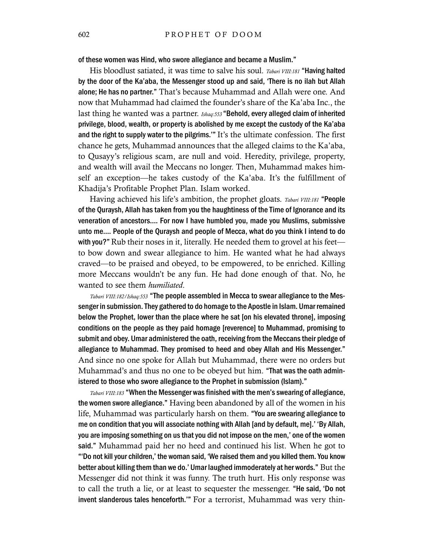of these women was Hind, who swore allegiance and became a Muslim."

His bloodlust satiated, it was time to salve his soul. *Tabari VIII:181* "Having halted by the door of the Ka'aba, the Messenger stood up and said, 'There is no ilah but Allah alone; He has no partner." That's because Muhammad and Allah were one. And now that Muhammad had claimed the founder's share of the Ka'aba Inc., the last thing he wanted was a partner. *Ishaq:553* "Behold, every alleged claim of inherited privilege, blood, wealth, or property is abolished by me except the custody of the Ka'aba and the right to supply water to the pilgrims.'" It's the ultimate confession. The first chance he gets, Muhammad announces that the alleged claims to the Ka'aba, to Qusayy's religious scam, are null and void. Heredity, privilege, property, and wealth will avail the Meccans no longer. Then, Muhammad makes himself an exception—he takes custody of the Ka'aba. It's the fulfillment of Khadija's Profitable Prophet Plan. Islam worked.

Having achieved his life's ambition, the prophet gloats. *Tabari VIII:181* "People of the Quraysh, Allah has taken from you the haughtiness of the Time of Ignorance and its veneration of ancestors…. For now I have humbled you, made you Muslims, submissive unto me…. People of the Quraysh and people of Mecca, what do you think I intend to do with you?" Rub their noses in it, literally. He needed them to grovel at his feet to bow down and swear allegiance to him. He wanted what he had always craved—to be praised and obeyed, to be empowered, to be enriched. Killing more Meccans wouldn't be any fun. He had done enough of that. No, he wanted to see them *humiliated*.

*Tabari VIII:182/Ishaq:553* "The people assembled in Mecca to swear allegiance to the Messenger in submission. They gathered to do homage to the Apostle in Islam. Umar remained below the Prophet, lower than the place where he sat [on his elevated throne], imposing conditions on the people as they paid homage [reverence] to Muhammad, promising to submit and obey. Umar administered the oath, receiving from the Meccans their pledge of allegiance to Muhammad. They promised to heed and obey Allah and His Messenger." And since no one spoke for Allah but Muhammad, there were no orders but Muhammad's and thus no one to be obeyed but him. "That was the oath administered to those who swore allegiance to the Prophet in submission (Islam)."

*Tabari VIII:183* "When the Messenger was finished with the men's swearing of allegiance, the women swore allegiance." Having been abandoned by all of the women in his life, Muhammad was particularly harsh on them. "You are swearing allegiance to me on condition that you will associate nothing with Allah [and by default, me].' 'By Allah, you are imposing something on us that you did not impose on the men,' one of the women said." Muhammad paid her no heed and continued his list. When he got to "'Do not kill your children,' the woman said, 'We raised them and you killed them. You know better about killing them than we do.' Umar laughed immoderately at her words." But the Messenger did not think it was funny. The truth hurt. His only response was to call the truth a lie, or at least to sequester the messenger. "He said, 'Do not invent slanderous tales henceforth.'" For a terrorist, Muhammad was very thin-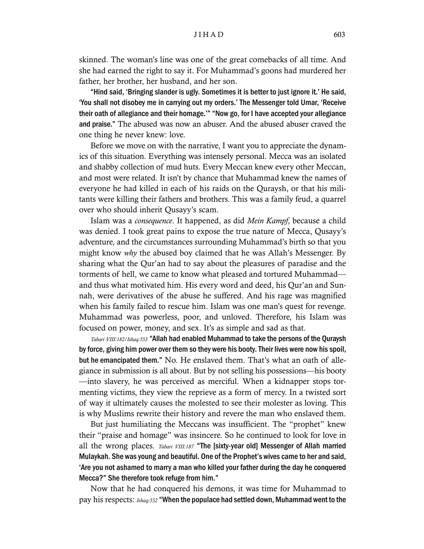skinned. The woman's line was one of the great comebacks of all time. And she had earned the right to say it. For Muhammad's goons had murdered her father, her brother, her husband, and her son.

"Hind said, 'Bringing slander is ugly. Sometimes it is better to just ignore it.' He said, 'You shall not disobey me in carrying out my orders.' The Messenger told Umar, 'Receive their oath of allegiance and their homage.'" "Now go, for I have accepted your allegiance and praise." The abused was now an abuser. And the abused abuser craved the one thing he never knew: love.

Before we move on with the narrative, I want you to appreciate the dynamics of this situation. Everything was intensely personal. Mecca was an isolated and shabby collection of mud huts. Every Meccan knew every other Meccan, and most were related. It isn't by chance that Muhammad knew the names of everyone he had killed in each of his raids on the Quraysh, or that his militants were killing their fathers and brothers. This was a family feud, a quarrel over who should inherit Qusayy's scam.

Islam was a *consequence*. It happened, as did *Mein Kampf*, because a child was denied. I took great pains to expose the true nature of Mecca, Qusayy's adventure, and the circumstances surrounding Muhammad's birth so that you might know *why* the abused boy claimed that he was Allah's Messenger. By sharing what the Qur'an had to say about the pleasures of paradise and the torments of hell, we came to know what pleased and tortured Muhammad and thus what motivated him. His every word and deed, his Qur'an and Sunnah, were derivatives of the abuse he suffered. And his rage was magnified when his family failed to rescue him. Islam was one man's quest for revenge. Muhammad was powerless, poor, and unloved. Therefore, his Islam was focused on power, money, and sex. It's as simple and sad as that.

*Tabari VIII:182/Ishaq:553* "Allah had enabled Muhammad to take the persons of the Quraysh by force, giving him power over them so they were his booty. Their lives were now his spoil, but he emancipated them." No. He enslaved them. That's what an oath of allegiance in submission is all about. But by not selling his possessions—his booty —into slavery, he was perceived as merciful. When a kidnapper stops tormenting victims, they view the reprieve as a form of mercy. In a twisted sort of way it ultimately causes the molested to see their molester as loving. This is why Muslims rewrite their history and revere the man who enslaved them.

But just humiliating the Meccans was insufficient. The "prophet" knew their "praise and homage" was insincere. So he continued to look for love in all the wrong places. *Tabari VIII:187* "The [sixty-year old] Messenger of Allah married Mulaykah. She was young and beautiful. One of the Prophet's wives came to her and said, 'Are you not ashamed to marry a man who killed your father during the day he conquered Mecca?" She therefore took refuge from him."

Now that he had conquered his demons, it was time for Muhammad to pay his respects: *Ishaq:552* "When the populace had settled down, Muhammad went to the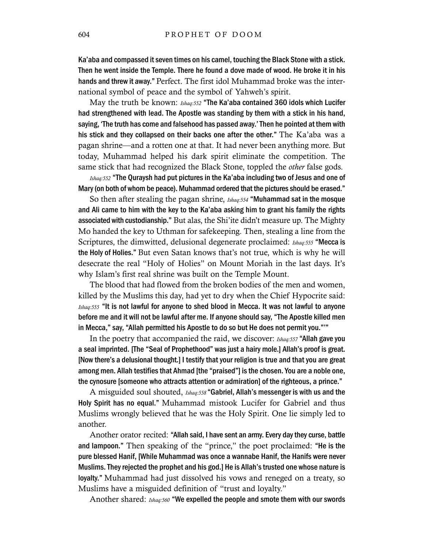Ka'aba and compassed it seven times on his camel, touching the Black Stone with a stick. Then he went inside the Temple. There he found a dove made of wood. He broke it in his hands and threw it away." Perfect. The first idol Muhammad broke was the international symbol of peace and the symbol of Yahweh's spirit.

May the truth be known: *Ishaq:552* "The Ka'aba contained 360 idols which Lucifer had strengthened with lead. The Apostle was standing by them with a stick in his hand, saying, 'The truth has come and falsehood has passed away.' Then he pointed at them with his stick and they collapsed on their backs one after the other." The Ka'aba was a pagan shrine—and a rotten one at that. It had never been anything more. But today, Muhammad helped his dark spirit eliminate the competition. The same stick that had recognized the Black Stone, toppled the *other* false gods.

*Ishaq:552* "The Quraysh had put pictures in the Ka'aba including two of Jesus and one of Mary (on both of whom be peace). Muhammad ordered that the pictures should be erased."

So then after stealing the pagan shrine, *Ishaq:554* "Muhammad sat in the mosque and Ali came to him with the key to the Ka'aba asking him to grant his family the rights associated with custodianship." But alas, the Shi'ite didn't measure up. The Mighty Mo handed the key to Uthman for safekeeping. Then, stealing a line from the Scriptures, the dimwitted, delusional degenerate proclaimed: *Ishaq:555* "Mecca is the Holy of Holies." But even Satan knows that's not true, which is why he will desecrate the real "Holy of Holies" on Mount Moriah in the last days. It's why Islam's first real shrine was built on the Temple Mount.

The blood that had flowed from the broken bodies of the men and women, killed by the Muslims this day, had yet to dry when the Chief Hypocrite said: *Ishaq:555* "It is not lawful for anyone to shed blood in Mecca. It was not lawful to anyone before me and it will not be lawful after me. If anyone should say, "The Apostle killed men in Mecca," say, "Allah permitted his Apostle to do so but He does not permit you."'"

In the poetry that accompanied the raid, we discover: *Ishaq:557* "Allah gave you a seal imprinted. [The "Seal of Prophethood" was just a hairy mole.] Allah's proof is great. [Now there's a delusional thought.] I testify that your religion is true and that you are great among men. Allah testifies that Ahmad [the "praised"] is the chosen. You are a noble one, the cynosure [someone who attracts attention or admiration] of the righteous, a prince."

A misguided soul shouted, *Ishaq:558* "Gabriel, Allah's messenger is with us and the Holy Spirit has no equal." Muhammad mistook Lucifer for Gabriel and thus Muslims wrongly believed that he was the Holy Spirit. One lie simply led to another.

Another orator recited: "Allah said, I have sent an army. Every day they curse, battle and lampoon." Then speaking of the "prince," the poet proclaimed: "He is the pure blessed Hanif, [While Muhammad was once a wannabe Hanif, the Hanifs were never Muslims. They rejected the prophet and his god.] He is Allah's trusted one whose nature is loyalty." Muhammad had just dissolved his vows and reneged on a treaty, so Muslims have a misguided definition of "trust and loyalty."

Another shared: *Ishaq:560* "We expelled the people and smote them with our swords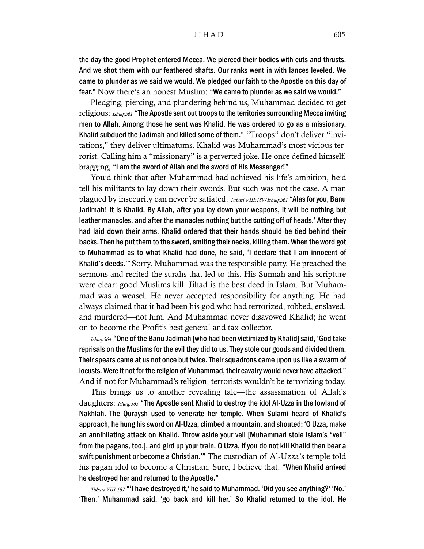the day the good Prophet entered Mecca. We pierced their bodies with cuts and thrusts. And we shot them with our feathered shafts. Our ranks went in with lances leveled. We came to plunder as we said we would. We pledged our faith to the Apostle on this day of fear." Now there's an honest Muslim: "We came to plunder as we said we would."

Pledging, piercing, and plundering behind us, Muhammad decided to get religious: *Ishaq:561* "The Apostle sent out troops to the territories surrounding Mecca inviting men to Allah. Among those he sent was Khalid. He was ordered to go as a missionary. Khalid subdued the Jadimah and killed some of them." "Troops" don't deliver "invitations," they deliver ultimatums. Khalid was Muhammad's most vicious terrorist. Calling him a "missionary" is a perverted joke. He once defined himself, bragging, "I am the sword of Allah and the sword of His Messenger!"

You'd think that after Muhammad had achieved his life's ambition, he'd tell his militants to lay down their swords. But such was not the case. A man plagued by insecurity can never be satiated. *Tabari VIII:189/Ishaq:561* "Alas for you, Banu Jadimah! It is Khalid. By Allah, after you lay down your weapons, it will be nothing but leather manacles, and after the manacles nothing but the cutting off of heads.' After they had laid down their arms, Khalid ordered that their hands should be tied behind their backs. Then he put them to the sword, smiting their necks, killing them. When the word got to Muhammad as to what Khalid had done, he said, 'I declare that I am innocent of Khalid's deeds.'" Sorry. Muhammad was the responsible party. He preached the sermons and recited the surahs that led to this. His Sunnah and his scripture were clear: good Muslims kill. Jihad is the best deed in Islam. But Muhammad was a weasel. He never accepted responsibility for anything. He had always claimed that it had been his god who had terrorized, robbed, enslaved, and murdered—not him. And Muhammad never disavowed Khalid; he went on to become the Profit's best general and tax collector.

*Ishaq:564* "One of the Banu Jadimah [who had been victimized by Khalid] said, 'God take reprisals on the Muslims for the evil they did to us. They stole our goods and divided them. Their spears came at us not once but twice. Their squadrons came upon us like a swarm of locusts. Were it not for the religion of Muhammad, their cavalry would never have attacked." And if not for Muhammad's religion, terrorists wouldn't be terrorizing today.

This brings us to another revealing tale—the assassination of Allah's daughters: *Ishaq:565* "The Apostle sent Khalid to destroy the idol Al-Uzza in the lowland of Nakhlah. The Quraysh used to venerate her temple. When Sulami heard of Khalid's approach, he hung his sword on Al-Uzza, climbed a mountain, and shouted: 'O Uzza, make an annihilating attack on Khalid. Throw aside your veil [Muhammad stole Islam's "veil" from the pagans, too.], and gird up your train. O Uzza, if you do not kill Khalid then bear a swift punishment or become a Christian.'" The custodian of Al-Uzza's temple told his pagan idol to become a Christian. Sure, I believe that. "When Khalid arrived he destroyed her and returned to the Apostle."

*Tabari VIII:187* "'I have destroyed it,' he said to Muhammad. 'Did you see anything?' 'No.' 'Then,' Muhammad said, 'go back and kill her.' So Khalid returned to the idol. He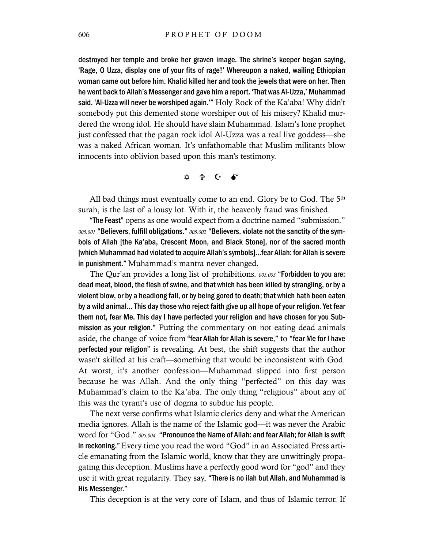destroyed her temple and broke her graven image. The shrine's keeper began saying, 'Rage, O Uzza, display one of your fits of rage!' Whereupon a naked, wailing Ethiopian woman came out before him. Khalid killed her and took the jewels that were on her. Then he went back to Allah's Messenger and gave him a report. 'That was Al-Uzza,' Muhammad said. 'Al-Uzza will never be worshiped again.'" Holy Rock of the Ka'aba! Why didn't somebody put this demented stone worshiper out of his misery? Khalid murdered the wrong idol. He should have slain Muhammad. Islam's lone prophet just confessed that the pagan rock idol Al-Uzza was a real live goddess—she was a naked African woman. It's unfathomable that Muslim militants blow innocents into oblivion based upon this man's testimony.

**☆ 中 C 6<sup>※</sup>** 

All bad things must eventually come to an end. Glory be to God. The 5<sup>th</sup> surah, is the last of a lousy lot. With it, the heavenly fraud was finished.

"The Feast" opens as one would expect from a doctrine named "submission." *005.001* "Believers, fulfill obligations." *005.002* "Believers, violate not the sanctity of the symbols of Allah [the Ka'aba, Crescent Moon, and Black Stone], nor of the sacred month [which Muhammad had violated to acquire Allah's symbols]…fear Allah: for Allah is severe in punishment." Muhammad's mantra never changed.

The Qur'an provides a long list of prohibitions. *005.003* "Forbidden to you are: dead meat, blood, the flesh of swine, and that which has been killed by strangling, or by a violent blow, or by a headlong fall, or by being gored to death; that which hath been eaten by a wild animal… This day those who reject faith give up all hope of your religion. Yet fear them not, fear Me. This day I have perfected your religion and have chosen for you Submission as your religion." Putting the commentary on not eating dead animals aside, the change of voice from "fear Allah for Allah is severe," to "fear Me for I have perfected your religion" is revealing. At best, the shift suggests that the author wasn't skilled at his craft—something that would be inconsistent with God. At worst, it's another confession—Muhammad slipped into first person because he was Allah. And the only thing "perfected" on this day was Muhammad's claim to the Ka'aba. The only thing "religious" about any of this was the tyrant's use of dogma to subdue his people.

The next verse confirms what Islamic clerics deny and what the American media ignores. Allah is the name of the Islamic god—it was never the Arabic word for "God." *005.004* "Pronounce the Name of Allah: and fear Allah; for Allah is swift in reckoning." Every time you read the word "God" in an Associated Press article emanating from the Islamic world, know that they are unwittingly propagating this deception. Muslims have a perfectly good word for "god" and they use it with great regularity. They say, "There is no ilah but Allah, and Muhammad is His Messenger."

This deception is at the very core of Islam, and thus of Islamic terror. If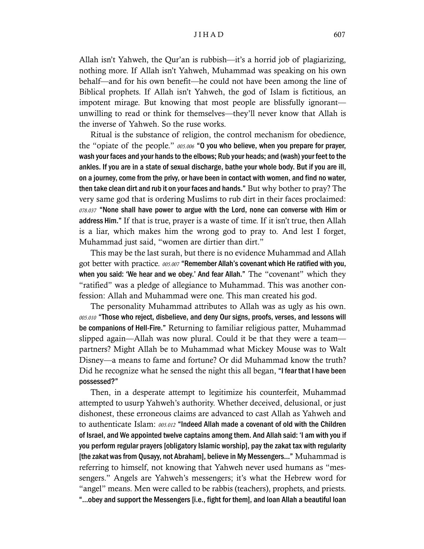Allah isn't Yahweh, the Qur'an is rubbish—it's a horrid job of plagiarizing, nothing more. If Allah isn't Yahweh, Muhammad was speaking on his own behalf—and for his own benefit—he could not have been among the line of Biblical prophets. If Allah isn't Yahweh, the god of Islam is fictitious, an impotent mirage. But knowing that most people are blissfully ignorant unwilling to read or think for themselves—they'll never know that Allah is the inverse of Yahweh. So the ruse works.

Ritual is the substance of religion, the control mechanism for obedience, the "opiate of the people." *005.006* "O you who believe, when you prepare for prayer, wash your faces and your hands to the elbows; Rub your heads; and (wash) your feet to the ankles. If you are in a state of sexual discharge, bathe your whole body. But if you are ill, on a journey, come from the privy, or have been in contact with women, and find no water, then take clean dirt and rub it on your faces and hands." But why bother to pray? The very same god that is ordering Muslims to rub dirt in their faces proclaimed: *078.037* "None shall have power to argue with the Lord, none can converse with Him or address Him." If that is true, prayer is a waste of time. If it isn't true, then Allah is a liar, which makes him the wrong god to pray to. And lest I forget, Muhammad just said, "women are dirtier than dirt."

This may be the last surah, but there is no evidence Muhammad and Allah got better with practice. *005.007* "Remember Allah's covenant which He ratified with you, when you said: 'We hear and we obey.' And fear Allah." The "covenant" which they "ratified" was a pledge of allegiance to Muhammad. This was another confession: Allah and Muhammad were one. This man created his god.

The personality Muhammad attributes to Allah was as ugly as his own. *005.010* "Those who reject, disbelieve, and deny Our signs, proofs, verses, and lessons will be companions of Hell-Fire." Returning to familiar religious patter, Muhammad slipped again—Allah was now plural. Could it be that they were a team partners? Might Allah be to Muhammad what Mickey Mouse was to Walt Disney—a means to fame and fortune? Or did Muhammad know the truth? Did he recognize what he sensed the night this all began, "I fear that I have been possessed?"

Then, in a desperate attempt to legitimize his counterfeit, Muhammad attempted to usurp Yahweh's authority. Whether deceived, delusional, or just dishonest, these erroneous claims are advanced to cast Allah as Yahweh and to authenticate Islam: *005.012* "Indeed Allah made a covenant of old with the Children of Israel, and We appointed twelve captains among them. And Allah said: 'I am with you if you perform regular prayers [obligatory Islamic worship], pay the zakat tax with regularity [the zakat was from Qusayy, not Abraham], believe in My Messengers…" Muhammad is referring to himself, not knowing that Yahweh never used humans as "messengers." Angels are Yahweh's messengers; it's what the Hebrew word for "angel" means. Men were called to be rabbis (teachers), prophets, and priests. "…obey and support the Messengers [i.e., fight for them], and loan Allah a beautiful loan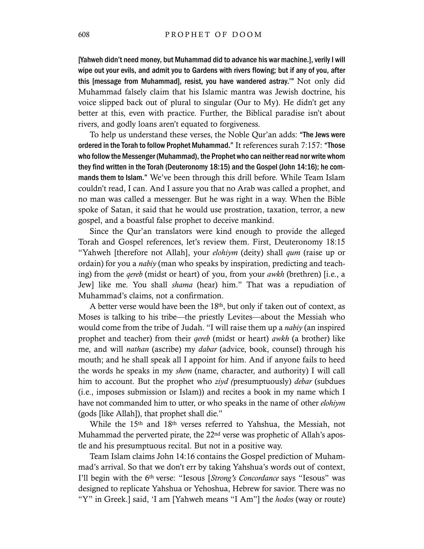[Yahweh didn't need money, but Muhammad did to advance his war machine.], verily I will wipe out your evils, and admit you to Gardens with rivers flowing; but if any of you, after this [message from Muhammad], resist, you have wandered astray.'" Not only did Muhammad falsely claim that his Islamic mantra was Jewish doctrine, his voice slipped back out of plural to singular (Our to My). He didn't get any better at this, even with practice. Further, the Biblical paradise isn't about rivers, and godly loans aren't equated to forgiveness.

To help us understand these verses, the Noble Qur'an adds: "The Jews were ordered in the Torah to follow Prophet Muhammad." It references surah 7:157: "Those who follow the Messenger (Muhammad), the Prophet who can neither read nor write whom they find written in the Torah (Deuteronomy 18:15) and the Gospel (John 14:16); he commands them to Islam." We've been through this drill before. While Team Islam couldn't read, I can. And I assure you that no Arab was called a prophet, and no man was called a messenger. But he was right in a way. When the Bible spoke of Satan, it said that he would use prostration, taxation, terror, a new gospel, and a boastful false prophet to deceive mankind.

Since the Qur'an translators were kind enough to provide the alleged Torah and Gospel references, let's review them. First, Deuteronomy 18:15 "Yahweh [therefore not Allah], your *elohiym* (deity) shall *qum* (raise up or ordain) for you a *nabiy* (man who speaks by inspiration, predicting and teaching) from the *qereb* (midst or heart) of you, from your *awkh* (brethren) [i.e., a Jew] like me. You shall *shama* (hear) him." That was a repudiation of Muhammad's claims, not a confirmation.

A better verse would have been the 18th, but only if taken out of context, as Moses is talking to his tribe—the priestly Levites—about the Messiah who would come from the tribe of Judah. "I will raise them up a *nabiy* (an inspired prophet and teacher) from their *qereb* (midst or heart) *awkh* (a brother) like me, and will *nathan* (ascribe) my *dabar* (advice, book, counsel) through his mouth; and he shall speak all I appoint for him. And if anyone fails to heed the words he speaks in my *shem* (name, character, and authority) I will call him to account. But the prophet who *ziyd (*presumptuously) *debar* (subdues (i.e., imposes submission or Islam)) and recites a book in my name which I have not commanded him to utter, or who speaks in the name of other *elohiym* (gods [like Allah]), that prophet shall die."

While the 15<sup>th</sup> and 18<sup>th</sup> verses referred to Yahshua, the Messiah, not Muhammad the perverted pirate, the 22nd verse was prophetic of Allah's apostle and his presumptuous recital. But not in a positive way.

Team Islam claims John 14:16 contains the Gospel prediction of Muhammad's arrival. So that we don't err by taking Yahshua's words out of context, I'll begin with the 6th verse: "Iesous [*Strong's Concordance* says "Iesous" was designed to replicate Yahshua or Yehoshua, Hebrew for savior. There was no "Y" in Greek.] said, 'I am [Yahweh means "I Am"] the *hodos* (way or route)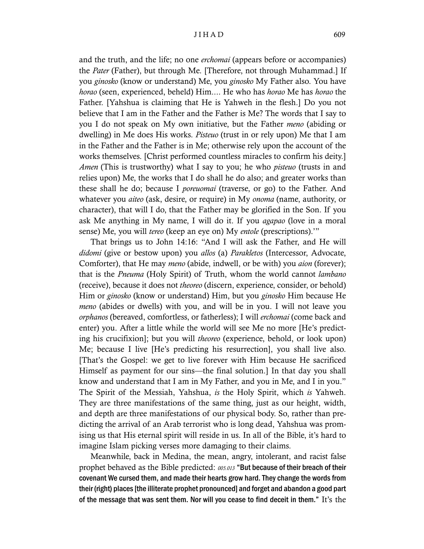and the truth, and the life; no one *erchomai* (appears before or accompanies) the *Pater* (Father), but through Me. [Therefore, not through Muhammad.] If you *ginosko* (know or understand) Me, you *ginosko* My Father also. You have *horao* (seen, experienced, beheld) Him.... He who has *horao* Me has *horao* the Father. [Yahshua is claiming that He is Yahweh in the flesh.] Do you not believe that I am in the Father and the Father is Me? The words that I say to you I do not speak on My own initiative, but the Father *meno* (abiding or dwelling) in Me does His works. *Pisteuo* (trust in or rely upon) Me that I am in the Father and the Father is in Me; otherwise rely upon the account of the works themselves. [Christ performed countless miracles to confirm his deity.] *Amen* (This is trustworthy) what I say to you; he who *pisteuo* (trusts in and relies upon) Me, the works that I do shall he do also; and greater works than these shall he do; because I *poreuomai* (traverse, or go) to the Father. And whatever you *aiteo* (ask, desire, or require) in My *onoma* (name, authority, or character), that will I do, that the Father may be glorified in the Son. If you ask Me anything in My name, I will do it. If you *agapao* (love in a moral sense) Me, you will *tereo* (keep an eye on) My *entole* (prescriptions).'"

That brings us to John 14:16: "And I will ask the Father, and He will *didomi* (give or bestow upon) you *allos* (a) *Parakletos* (Intercessor, Advocate, Comforter), that He may *meno* (abide, indwell, or be with) you *aion* (forever); that is the *Pneuma* (Holy Spirit) of Truth, whom the world cannot *lambano* (receive), because it does not *theoreo* (discern, experience, consider, or behold) Him or *ginosko* (know or understand) Him, but you *ginosko* Him because He *meno* (abides or dwells) with you, and will be in you. I will not leave you *orphanos* (bereaved, comfortless, or fatherless); I will *erchomai* (come back and enter) you. After a little while the world will see Me no more [He's predicting his crucifixion]; but you will *theoreo* (experience, behold, or look upon) Me; because I live [He's predicting his resurrection], you shall live also. [That's the Gospel: we get to live forever with Him because He sacrificed Himself as payment for our sins—the final solution.] In that day you shall know and understand that I am in My Father, and you in Me, and I in you." The Spirit of the Messiah, Yahshua, *is* the Holy Spirit, which *is* Yahweh. They are three manifestations of the same thing, just as our height, width, and depth are three manifestations of our physical body. So, rather than predicting the arrival of an Arab terrorist who is long dead, Yahshua was promising us that His eternal spirit will reside in us. In all of the Bible, it's hard to imagine Islam picking verses more damaging to their claims.

Meanwhile, back in Medina, the mean, angry, intolerant, and racist false prophet behaved as the Bible predicted: *005.013* "But because of their breach of their covenant We cursed them, and made their hearts grow hard. They change the words from their (right) places [the illiterate prophet pronounced] and forget and abandon a good part of the message that was sent them. Nor will you cease to find deceit in them." It's the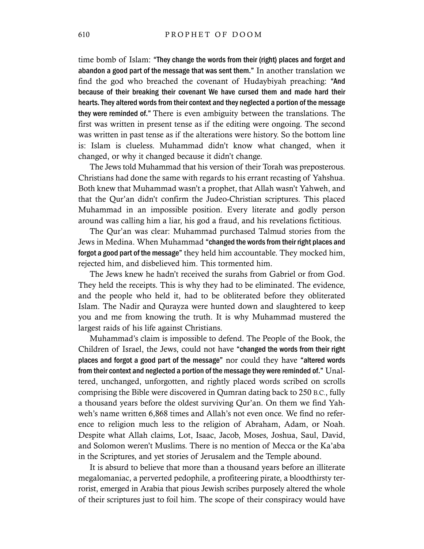time bomb of Islam: "They change the words from their (right) places and forget and abandon a good part of the message that was sent them." In another translation we find the god who breached the covenant of Hudaybiyah preaching: "And because of their breaking their covenant We have cursed them and made hard their hearts. They altered words from their context and they neglected a portion of the message they were reminded of." There is even ambiguity between the translations. The first was written in present tense as if the editing were ongoing. The second was written in past tense as if the alterations were history. So the bottom line is: Islam is clueless. Muhammad didn't know what changed, when it changed, or why it changed because it didn't change.

The Jews told Muhammad that his version of their Torah was preposterous. Christians had done the same with regards to his errant recasting of Yahshua. Both knew that Muhammad wasn't a prophet, that Allah wasn't Yahweh, and that the Qur'an didn't confirm the Judeo-Christian scriptures. This placed Muhammad in an impossible position. Every literate and godly person around was calling him a liar, his god a fraud, and his revelations fictitious.

The Qur'an was clear: Muhammad purchased Talmud stories from the Jews in Medina. When Muhammad "changed the words from their right places and forgot a good part of the message" they held him accountable. They mocked him, rejected him, and disbelieved him. This tormented him.

The Jews knew he hadn't received the surahs from Gabriel or from God. They held the receipts. This is why they had to be eliminated. The evidence, and the people who held it, had to be obliterated before they obliterated Islam. The Nadir and Qurayza were hunted down and slaughtered to keep you and me from knowing the truth. It is why Muhammad mustered the largest raids of his life against Christians.

Muhammad's claim is impossible to defend. The People of the Book, the Children of Israel, the Jews, could not have "changed the words from their right places and forgot a good part of the message" nor could they have "altered words from their context and neglected a portion of the message they were reminded of." Unaltered, unchanged, unforgotten, and rightly placed words scribed on scrolls comprising the Bible were discovered in Qumran dating back to 250 B.C., fully a thousand years before the oldest surviving Qur'an. On them we find Yahweh's name written 6,868 times and Allah's not even once. We find no reference to religion much less to the religion of Abraham, Adam, or Noah. Despite what Allah claims, Lot, Isaac, Jacob, Moses, Joshua, Saul, David, and Solomon weren't Muslims. There is no mention of Mecca or the Ka'aba in the Scriptures, and yet stories of Jerusalem and the Temple abound.

It is absurd to believe that more than a thousand years before an illiterate megalomaniac, a perverted pedophile, a profiteering pirate, a bloodthirsty terrorist, emerged in Arabia that pious Jewish scribes purposely altered the whole of their scriptures just to foil him. The scope of their conspiracy would have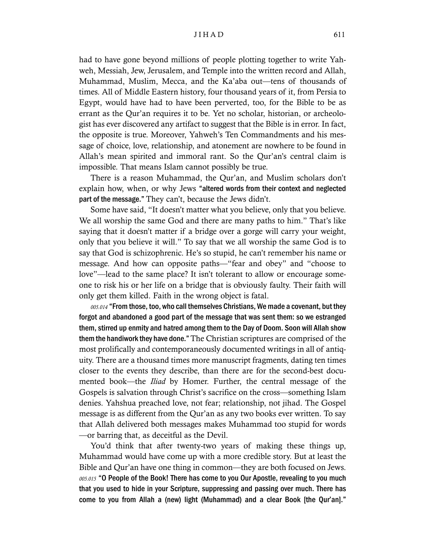had to have gone beyond millions of people plotting together to write Yahweh, Messiah, Jew, Jerusalem, and Temple into the written record and Allah, Muhammad, Muslim, Mecca, and the Ka'aba out—tens of thousands of times. All of Middle Eastern history, four thousand years of it, from Persia to Egypt, would have had to have been perverted, too, for the Bible to be as errant as the Qur'an requires it to be. Yet no scholar, historian, or archeologist has ever discovered any artifact to suggest that the Bible is in error. In fact, the opposite is true. Moreover, Yahweh's Ten Commandments and his message of choice, love, relationship, and atonement are nowhere to be found in Allah's mean spirited and immoral rant. So the Qur'an's central claim is impossible. That means Islam cannot possibly be true.

There is a reason Muhammad, the Qur'an, and Muslim scholars don't explain how, when, or why Jews "altered words from their context and neglected part of the message." They can't, because the Jews didn't.

Some have said, "It doesn't matter what you believe, only that you believe. We all worship the same God and there are many paths to him." That's like saying that it doesn't matter if a bridge over a gorge will carry your weight, only that you believe it will." To say that we all worship the same God is to say that God is schizophrenic. He's so stupid, he can't remember his name or message. And how can opposite paths—"fear and obey" and "choose to love"—lead to the same place? It isn't tolerant to allow or encourage someone to risk his or her life on a bridge that is obviously faulty. Their faith will only get them killed. Faith in the wrong object is fatal.

*005.014* "From those, too, who call themselves Christians, We made a covenant, but they forgot and abandoned a good part of the message that was sent them: so we estranged them, stirred up enmity and hatred among them to the Day of Doom. Soon will Allah show them the handiwork they have done." The Christian scriptures are comprised of the most prolifically and contemporaneously documented writings in all of antiquity. There are a thousand times more manuscript fragments, dating ten times closer to the events they describe, than there are for the second-best documented book—the *Iliad* by Homer. Further, the central message of the Gospels is salvation through Christ's sacrifice on the cross—something Islam denies. Yahshua preached love, not fear; relationship, not jihad. The Gospel message is as different from the Qur'an as any two books ever written. To say that Allah delivered both messages makes Muhammad too stupid for words —or barring that, as deceitful as the Devil.

You'd think that after twenty-two years of making these things up, Muhammad would have come up with a more credible story. But at least the Bible and Qur'an have one thing in common—they are both focused on Jews. *005.015* "O People of the Book! There has come to you Our Apostle, revealing to you much that you used to hide in your Scripture, suppressing and passing over much. There has come to you from Allah a (new) light (Muhammad) and a clear Book [the Qur'an]."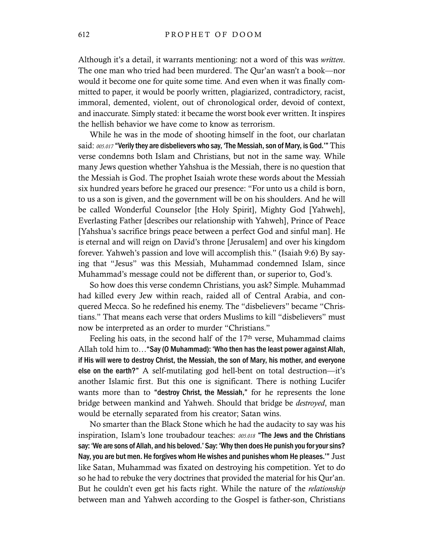Although it's a detail, it warrants mentioning: not a word of this was *written*. The one man who tried had been murdered. The Qur'an wasn't a book—nor would it become one for quite some time. And even when it was finally committed to paper, it would be poorly written, plagiarized, contradictory, racist, immoral, demented, violent, out of chronological order, devoid of context, and inaccurate. Simply stated: it became the worst book ever written. It inspires the hellish behavior we have come to know as terrorism.

While he was in the mode of shooting himself in the foot, our charlatan said:  $0.05.017$  "Verily they are disbelievers who say, 'The Messiah, son of Mary, is God.'" This verse condemns both Islam and Christians, but not in the same way. While many Jews question whether Yahshua is the Messiah, there is no question that the Messiah is God. The prophet Isaiah wrote these words about the Messiah six hundred years before he graced our presence: "For unto us a child is born, to us a son is given, and the government will be on his shoulders. And he will be called Wonderful Counselor [the Holy Spirit], Mighty God [Yahweh], Everlasting Father [describes our relationship with Yahweh], Prince of Peace [Yahshua's sacrifice brings peace between a perfect God and sinful man]. He is eternal and will reign on David's throne [Jerusalem] and over his kingdom forever. Yahweh's passion and love will accomplish this." (Isaiah 9:6) By saying that "Jesus" was this Messiah, Muhammad condemned Islam, since Muhammad's message could not be different than, or superior to, God's.

So how does this verse condemn Christians, you ask? Simple. Muhammad had killed every Jew within reach, raided all of Central Arabia, and conquered Mecca. So he redefined his enemy. The "disbelievers" became "Christians." That means each verse that orders Muslims to kill "disbelievers" must now be interpreted as an order to murder "Christians."

Feeling his oats, in the second half of the 17<sup>th</sup> verse, Muhammad claims Allah told him to…"Say (O Muhammad): 'Who then has the least power against Allah, if His will were to destroy Christ, the Messiah, the son of Mary, his mother, and everyone else on the earth?" A self-mutilating god hell-bent on total destruction—it's another Islamic first. But this one is significant. There is nothing Lucifer wants more than to "destroy Christ, the Messiah," for he represents the lone bridge between mankind and Yahweh. Should that bridge be *destroyed*, man would be eternally separated from his creator; Satan wins.

No smarter than the Black Stone which he had the audacity to say was his inspiration, Islam's lone troubadour teaches: *005.018* "The Jews and the Christians say: 'We are sons of Allah, and his beloved.' Say: 'Why then does He punish you for your sins? Nay, you are but men. He forgives whom He wishes and punishes whom He pleases.'" Just like Satan, Muhammad was fixated on destroying his competition. Yet to do so he had to rebuke the very doctrines that provided the material for his Qur'an. But he couldn't even get his facts right. While the nature of the *relationship* between man and Yahweh according to the Gospel is father-son, Christians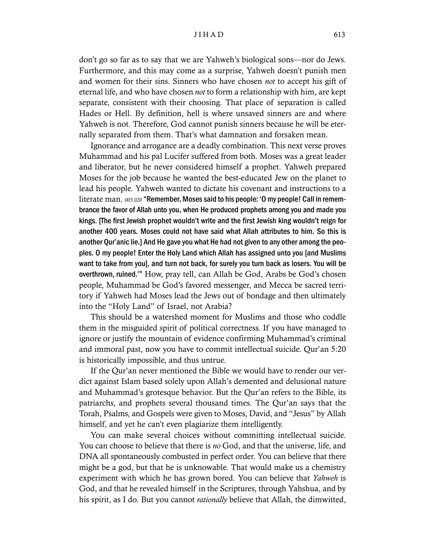don't go so far as to say that we are Yahweh's biological sons—nor do Jews. Furthermore, and this may come as a surprise, Yahweh doesn't punish men and women for their sins. Sinners who have chosen *not* to accept his gift of eternal life, and who have chosen *not* to form a relationship with him, are kept separate, consistent with their choosing. That place of separation is called Hades or Hell. By definition, hell is where unsaved sinners are and where Yahweh is not. Therefore, God cannot punish sinners because he will be eternally separated from them. That's what damnation and forsaken mean.

Ignorance and arrogance are a deadly combination. This next verse proves Muhammad and his pal Lucifer suffered from both. Moses was a great leader and liberator, but he never considered himself a prophet. Yahweh prepared Moses for the job because he wanted the best-educated Jew on the planet to lead his people. Yahweh wanted to dictate his covenant and instructions to a literate man. *005.020* "Remember, Moses said to his people: 'O my people! Call in remembrance the favor of Allah unto you, when He produced prophets among you and made you kings. [The first Jewish prophet wouldn't write and the first Jewish king wouldn't reign for another 400 years. Moses could not have said what Allah attributes to him. So this is another Qur'anic lie.] And He gave you what He had not given to any other among the peoples. O my people! Enter the Holy Land which Allah has assigned unto you [and Muslims want to take from you], and turn not back, for surely you turn back as losers. You will be overthrown, ruined.'" How, pray tell, can Allah be God, Arabs be God's chosen people, Muhammad be God's favored messenger, and Mecca be sacred territory if Yahweh had Moses lead the Jews out of bondage and then ultimately into the "Holy Land" of Israel, not Arabia?

This should be a watershed moment for Muslims and those who coddle them in the misguided spirit of political correctness. If you have managed to ignore or justify the mountain of evidence confirming Muhammad's criminal and immoral past, now you have to commit intellectual suicide. Qur'an 5:20 is historically impossible, and thus untrue.

If the Qur'an never mentioned the Bible we would have to render our verdict against Islam based solely upon Allah's demented and delusional nature and Muhammad's grotesque behavior. But the Qur'an refers to the Bible, its patriarchs, and prophets several thousand times. The Qur'an says that the Torah, Psalms, and Gospels were given to Moses, David, and "Jesus" by Allah himself, and yet he can't even plagiarize them intelligently.

You can make several choices without committing intellectual suicide. You can choose to believe that there is *no* God, and that the universe, life, and DNA all spontaneously combusted in perfect order. You can believe that there might be a god, but that he is unknowable. That would make us a chemistry experiment with which he has grown bored. You can believe that *Yahweh* is God, and that he revealed himself in the Scriptures, through Yahshua, and by his spirit, as I do. But you cannot *rationally* believe that Allah, the dimwitted,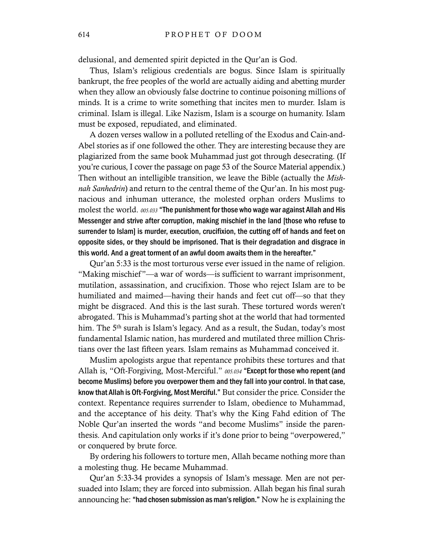delusional, and demented spirit depicted in the Qur'an is God.

Thus, Islam's religious credentials are bogus. Since Islam is spiritually bankrupt, the free peoples of the world are actually aiding and abetting murder when they allow an obviously false doctrine to continue poisoning millions of minds. It is a crime to write something that incites men to murder. Islam is criminal. Islam is illegal. Like Nazism, Islam is a scourge on humanity. Islam must be exposed, repudiated, and eliminated.

A dozen verses wallow in a polluted retelling of the Exodus and Cain-and-Abel stories as if one followed the other. They are interesting because they are plagiarized from the same book Muhammad just got through desecrating. (If you're curious, I cover the passage on page 53 of the Source Material appendix.) Then without an intelligible transition, we leave the Bible (actually the *Mishnah Sanhedrin*) and return to the central theme of the Qur'an. In his most pugnacious and inhuman utterance, the molested orphan orders Muslims to molest the world. *005.033* "The punishment for those who wage war against Allah and His Messenger and strive after corruption, making mischief in the land [those who refuse to surrender to Islam] is murder, execution, crucifixion, the cutting off of hands and feet on opposite sides, or they should be imprisoned. That is their degradation and disgrace in this world. And a great torment of an awful doom awaits them in the hereafter."

Qur'an 5:33 is the most torturous verse ever issued in the name of religion. "Making mischief "—a war of words—is sufficient to warrant imprisonment, mutilation, assassination, and crucifixion. Those who reject Islam are to be humiliated and maimed—having their hands and feet cut off—so that they might be disgraced. And this is the last surah. These tortured words weren't abrogated. This is Muhammad's parting shot at the world that had tormented him. The 5<sup>th</sup> surah is Islam's legacy. And as a result, the Sudan, today's most fundamental Islamic nation, has murdered and mutilated three million Christians over the last fifteen years. Islam remains as Muhammad conceived it.

Muslim apologists argue that repentance prohibits these tortures and that Allah is, "Oft-Forgiving, Most-Merciful." *005.034* "Except for those who repent (and become Muslims) before you overpower them and they fall into your control. In that case, know that Allah is Oft-Forgiving, Most Merciful." But consider the price. Consider the context. Repentance requires surrender to Islam, obedience to Muhammad, and the acceptance of his deity. That's why the King Fahd edition of The Noble Qur'an inserted the words "and become Muslims" inside the parenthesis. And capitulation only works if it's done prior to being "overpowered," or conquered by brute force.

By ordering his followers to torture men, Allah became nothing more than a molesting thug. He became Muhammad.

Qur'an 5:33-34 provides a synopsis of Islam's message. Men are not persuaded into Islam; they are forced into submission. Allah began his final surah announcing he: "had chosen submission as man's religion." Now he is explaining the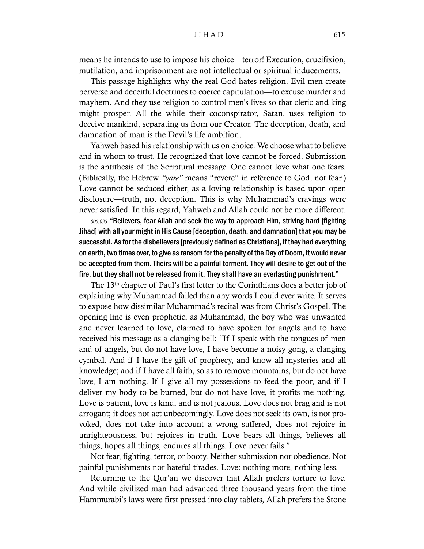means he intends to use to impose his choice—terror! Execution, crucifixion, mutilation, and imprisonment are not intellectual or spiritual inducements.

This passage highlights why the real God hates religion. Evil men create perverse and deceitful doctrines to coerce capitulation—to excuse murder and mayhem. And they use religion to control men's lives so that cleric and king might prosper. All the while their coconspirator, Satan, uses religion to deceive mankind, separating us from our Creator. The deception, death, and damnation of man is the Devil's life ambition.

Yahweh based his relationship with us on choice. We choose what to believe and in whom to trust. He recognized that love cannot be forced. Submission is the antithesis of the Scriptural message. One cannot love what one fears. (Biblically, the Hebrew *"yare"* means "revere" in reference to God, not fear.) Love cannot be seduced either, as a loving relationship is based upon open disclosure—truth, not deception. This is why Muhammad's cravings were never satisfied. In this regard, Yahweh and Allah could not be more different.

*005.035* "Believers, fear Allah and seek the way to approach Him, striving hard [fighting Jihad] with all your might in His Cause [deception, death, and damnation] that you may be successful. As for the disbelievers [previously defined as Christians], if they had everything on earth, two times over, to give as ransom for the penalty of the Day of Doom, it would never be accepted from them. Theirs will be a painful torment. They will desire to get out of the fire, but they shall not be released from it. They shall have an everlasting punishment."

The 13th chapter of Paul's first letter to the Corinthians does a better job of explaining why Muhammad failed than any words I could ever write. It serves to expose how dissimilar Muhammad's recital was from Christ's Gospel. The opening line is even prophetic, as Muhammad, the boy who was unwanted and never learned to love, claimed to have spoken for angels and to have received his message as a clanging bell: "If I speak with the tongues of men and of angels, but do not have love, I have become a noisy gong, a clanging cymbal. And if I have the gift of prophecy, and know all mysteries and all knowledge; and if I have all faith, so as to remove mountains, but do not have love, I am nothing. If I give all my possessions to feed the poor, and if I deliver my body to be burned, but do not have love, it profits me nothing. Love is patient, love is kind, and is not jealous. Love does not brag and is not arrogant; it does not act unbecomingly. Love does not seek its own, is not provoked, does not take into account a wrong suffered, does not rejoice in unrighteousness, but rejoices in truth. Love bears all things, believes all things, hopes all things, endures all things. Love never fails."

Not fear, fighting, terror, or booty. Neither submission nor obedience. Not painful punishments nor hateful tirades. Love: nothing more, nothing less.

Returning to the Qur'an we discover that Allah prefers torture to love. And while civilized man had advanced three thousand years from the time Hammurabi's laws were first pressed into clay tablets, Allah prefers the Stone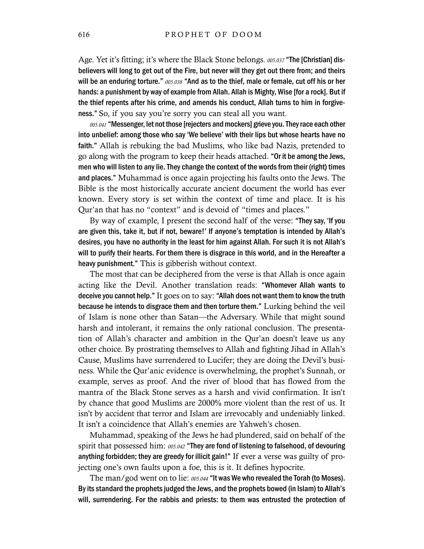Age. Yet it's fitting; it's where the Black Stone belongs. *005.037* "The [Christian] disbelievers will long to get out of the Fire, but never will they get out there from; and theirs will be an enduring torture." *005.038* "And as to the thief, male or female, cut off his or her hands: a punishment by way of example from Allah. Allah is Mighty, Wise [for a rock]. But if the thief repents after his crime, and amends his conduct, Allah turns to him in forgiveness." So, if you say you're sorry you can steal all you want.

*005.041* "Messenger, let not those [rejecters and mockers] grieve you. They race each other into unbelief: among those who say 'We believe' with their lips but whose hearts have no faith." Allah is rebuking the bad Muslims, who like bad Nazis, pretended to go along with the program to keep their heads attached. "Or it be among the Jews, men who will listen to any lie. They change the context of the words from their (right) times and places." Muhammad is once again projecting his faults onto the Jews. The Bible is the most historically accurate ancient document the world has ever known. Every story is set within the context of time and place. It is his Qur'an that has no "context" and is devoid of "times and places."

By way of example, I present the second half of the verse: "They say, 'If you are given this, take it, but if not, beware!' If anyone's temptation is intended by Allah's desires, you have no authority in the least for him against Allah. For such it is not Allah's will to purify their hearts. For them there is disgrace in this world, and in the Hereafter a heavy punishment." This is gibberish without context.

The most that can be deciphered from the verse is that Allah is once again acting like the Devil. Another translation reads: "Whomever Allah wants to deceive you cannot help." It goes on to say: "Allah does not want them to know the truth because he intends to disgrace them and then torture them." Lurking behind the veil of Islam is none other than Satan—the Adversary. While that might sound harsh and intolerant, it remains the only rational conclusion. The presentation of Allah's character and ambition in the Qur'an doesn't leave us any other choice. By prostrating themselves to Allah and fighting Jihad in Allah's Cause, Muslims have surrendered to Lucifer; they are doing the Devil's business. While the Qur'anic evidence is overwhelming, the prophet's Sunnah, or example, serves as proof. And the river of blood that has flowed from the mantra of the Black Stone serves as a harsh and vivid confirmation. It isn't by chance that good Muslims are 2000% more violent than the rest of us. It isn't by accident that terror and Islam are irrevocably and undeniably linked. It isn't a coincidence that Allah's enemies are Yahweh's chosen.

Muhammad, speaking of the Jews he had plundered, said on behalf of the spirit that possessed him: *005.042* "They are fond of listening to falsehood, of devouring anything forbidden; they are greedy for illicit gain!" If ever a verse was guilty of projecting one's own faults upon a foe, this is it. It defines hypocrite.

The man/god went on to lie: *005.044* "It was We who revealed the Torah (to Moses). By its standard the prophets judged the Jews, and the prophets bowed (in Islam) to Allah's will, surrendering. For the rabbis and priests: to them was entrusted the protection of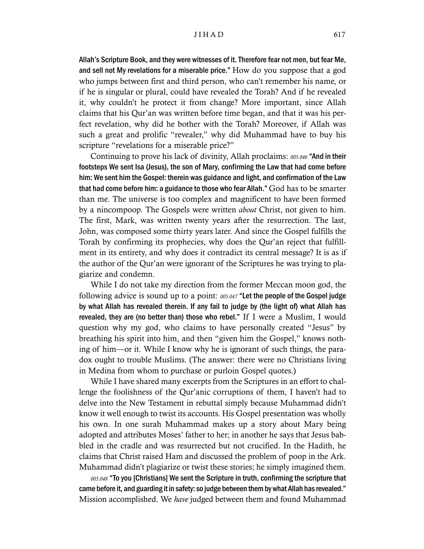Allah's Scripture Book, and they were witnesses of it. Therefore fear not men, but fear Me, and sell not My revelations for a miserable price." How do you suppose that a god who jumps between first and third person, who can't remember his name, or if he is singular or plural, could have revealed the Torah? And if he revealed it, why couldn't he protect it from change? More important, since Allah claims that his Qur'an was written before time began, and that it was his perfect revelation, why did he bother with the Torah? Moreover, if Allah was such a great and prolific "revealer," why did Muhammad have to buy his scripture "revelations for a miserable price?"

Continuing to prove his lack of divinity, Allah proclaims: *005.046* "And in their footsteps We sent Isa (Jesus), the son of Mary, confirming the Law that had come before him: We sent him the Gospel: therein was guidance and light, and confirmation of the Law that had come before him: a guidance to those who fear Allah." God has to be smarter than me. The universe is too complex and magnificent to have been formed by a nincompoop. The Gospels were written *about* Christ, not given to him. The first, Mark, was written twenty years after the resurrection. The last, John, was composed some thirty years later. And since the Gospel fulfills the Torah by confirming its prophecies, why does the Qur'an reject that fulfillment in its entirety, and why does it contradict its central message? It is as if the author of the Qur'an were ignorant of the Scriptures he was trying to plagiarize and condemn.

While I do not take my direction from the former Meccan moon god, the following advice is sound up to a point: *005.047* "Let the people of the Gospel judge by what Allah has revealed therein. If any fail to judge by (the light of) what Allah has revealed, they are (no better than) those who rebel." If I were a Muslim, I would question why my god, who claims to have personally created "Jesus" by breathing his spirit into him, and then "given him the Gospel," knows nothing of him—or it. While I know why he is ignorant of such things, the paradox ought to trouble Muslims. (The answer: there were no Christians living in Medina from whom to purchase or purloin Gospel quotes.)

While I have shared many excerpts from the Scriptures in an effort to challenge the foolishness of the Qur'anic corruptions of them, I haven't had to delve into the New Testament in rebuttal simply because Muhammad didn't know it well enough to twist its accounts. His Gospel presentation was wholly his own. In one surah Muhammad makes up a story about Mary being adopted and attributes Moses' father to her; in another he says that Jesus babbled in the cradle and was resurrected but not crucified. In the Hadith, he claims that Christ raised Ham and discussed the problem of poop in the Ark. Muhammad didn't plagiarize or twist these stories; he simply imagined them.

*005.048* "To you [Christians] We sent the Scripture in truth, confirming the scripture that came before it, and guarding it in safety: so judge between them by what Allah has revealed." Mission accomplished. We *have* judged between them and found Muhammad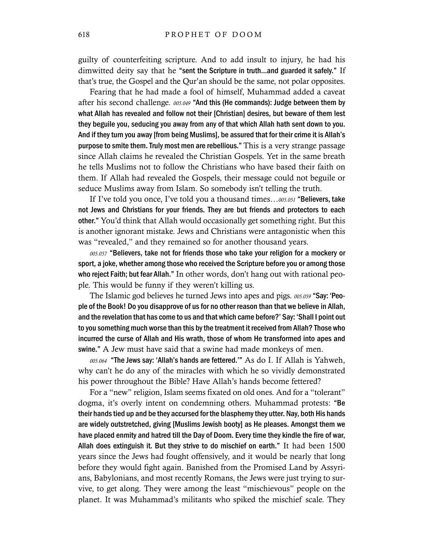guilty of counterfeiting scripture. And to add insult to injury, he had his dimwitted deity say that he "sent the Scripture in truth…and guarded it safely." If that's true, the Gospel and the Qur'an should be the same, not polar opposites.

Fearing that he had made a fool of himself, Muhammad added a caveat after his second challenge. *005.049* "And this (He commands): Judge between them by what Allah has revealed and follow not their [Christian] desires, but beware of them lest they beguile you, seducing you away from any of that which Allah hath sent down to you. And if they turn you away [from being Muslims], be assured that for their crime it is Allah's purpose to smite them. Truly most men are rebellious." This is a very strange passage since Allah claims he revealed the Christian Gospels. Yet in the same breath he tells Muslims not to follow the Christians who have based their faith on them. If Allah had revealed the Gospels, their message could not beguile or seduce Muslims away from Islam. So somebody isn't telling the truth.

If I've told you once, I've told you a thousand times…*005.051* "Believers, take not Jews and Christians for your friends. They are but friends and protectors to each other." You'd think that Allah would occasionally get something right. But this is another ignorant mistake. Jews and Christians were antagonistic when this was "revealed," and they remained so for another thousand years.

*005.057* "Believers, take not for friends those who take your religion for a mockery or sport, a joke, whether among those who received the Scripture before you or among those who reject Faith; but fear Allah." In other words, don't hang out with rational people. This would be funny if they weren't killing us.

The Islamic god believes he turned Jews into apes and pigs. *005.059* "Say: 'People of the Book! Do you disapprove of us for no other reason than that we believe in Allah, and the revelation that has come to us and that which came before?' Say: 'Shall I point out to you something much worse than this by the treatment it received from Allah? Those who incurred the curse of Allah and His wrath, those of whom He transformed into apes and swine." A Jew must have said that a swine had made monkeys of men.

*005.064* "The Jews say: 'Allah's hands are fettered.'" As do I. If Allah is Yahweh, why can't he do any of the miracles with which he so vividly demonstrated his power throughout the Bible? Have Allah's hands become fettered?

For a "new" religion, Islam seems fixated on old ones. And for a "tolerant" dogma, it's overly intent on condemning others. Muhammad protests: "Be their hands tied up and be they accursed for the blasphemy they utter. Nay, both His hands are widely outstretched, giving [Muslims Jewish booty] as He pleases. Amongst them we have placed enmity and hatred till the Day of Doom. Every time they kindle the fire of war, Allah does extinguish it. But they strive to do mischief on earth." It had been 1500 years since the Jews had fought offensively, and it would be nearly that long before they would fight again. Banished from the Promised Land by Assyrians, Babylonians, and most recently Romans, the Jews were just trying to survive, to get along. They were among the least "mischievous" people on the planet. It was Muhammad's militants who spiked the mischief scale. They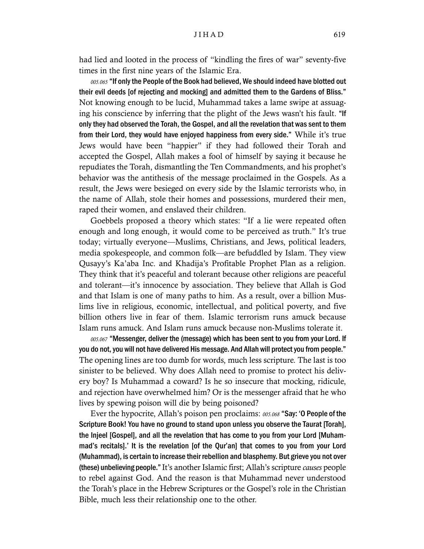had lied and looted in the process of "kindling the fires of war" seventy-five times in the first nine years of the Islamic Era.

*005.065* "If only the People of the Book had believed, We should indeed have blotted out their evil deeds [of rejecting and mocking] and admitted them to the Gardens of Bliss." Not knowing enough to be lucid, Muhammad takes a lame swipe at assuaging his conscience by inferring that the plight of the Jews wasn't his fault. "If only they had observed the Torah, the Gospel, and all the revelation that was sent to them from their Lord, they would have enjoyed happiness from every side." While it's true Jews would have been "happier" if they had followed their Torah and accepted the Gospel, Allah makes a fool of himself by saying it because he repudiates the Torah, dismantling the Ten Commandments, and his prophet's behavior was the antithesis of the message proclaimed in the Gospels. As a result, the Jews were besieged on every side by the Islamic terrorists who, in the name of Allah, stole their homes and possessions, murdered their men, raped their women, and enslaved their children.

Goebbels proposed a theory which states: "If a lie were repeated often enough and long enough, it would come to be perceived as truth." It's true today; virtually everyone—Muslims, Christians, and Jews, political leaders, media spokespeople, and common folk—are befuddled by Islam. They view Qusayy's Ka'aba Inc. and Khadija's Profitable Prophet Plan as a religion. They think that it's peaceful and tolerant because other religions are peaceful and tolerant—it's innocence by association. They believe that Allah is God and that Islam is one of many paths to him. As a result, over a billion Muslims live in religious, economic, intellectual, and political poverty, and five billion others live in fear of them. Islamic terrorism runs amuck because Islam runs amuck. And Islam runs amuck because non-Muslims tolerate it.

*005.067* "Messenger, deliver the (message) which has been sent to you from your Lord. If you do not, you will not have delivered His message. And Allah will protect you from people." The opening lines are too dumb for words, much less scripture. The last is too sinister to be believed. Why does Allah need to promise to protect his delivery boy? Is Muhammad a coward? Is he so insecure that mocking, ridicule, and rejection have overwhelmed him? Or is the messenger afraid that he who lives by spewing poison will die by being poisoned?

Ever the hypocrite, Allah's poison pen proclaims: *005.068* "Say: 'O People of the Scripture Book! You have no ground to stand upon unless you observe the Taurat [Torah], the Injeel [Gospel], and all the revelation that has come to you from your Lord [Muhammad's recitals].' It is the revelation [of the Qur'an] that comes to you from your Lord (Muhammad), is certain to increase their rebellion and blasphemy. But grieve you not over (these) unbelieving people." It's another Islamic first; Allah's scripture *causes* people to rebel against God. And the reason is that Muhammad never understood the Torah's place in the Hebrew Scriptures or the Gospel's role in the Christian Bible, much less their relationship one to the other.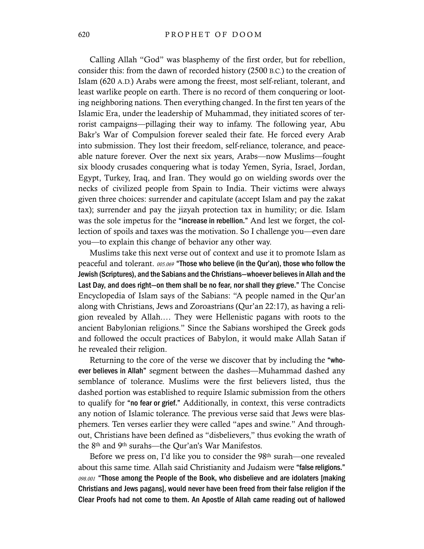Calling Allah "God" was blasphemy of the first order, but for rebellion, consider this: from the dawn of recorded history (2500 B.C.) to the creation of Islam (620 A.D.) Arabs were among the freest, most self-reliant, tolerant, and least warlike people on earth. There is no record of them conquering or looting neighboring nations. Then everything changed. In the first ten years of the Islamic Era, under the leadership of Muhammad, they initiated scores of terrorist campaigns—pillaging their way to infamy. The following year, Abu Bakr's War of Compulsion forever sealed their fate. He forced every Arab into submission. They lost their freedom, self-reliance, tolerance, and peaceable nature forever. Over the next six years, Arabs—now Muslims—fought six bloody crusades conquering what is today Yemen, Syria, Israel, Jordan, Egypt, Turkey, Iraq, and Iran. They would go on wielding swords over the necks of civilized people from Spain to India. Their victims were always given three choices: surrender and capitulate (accept Islam and pay the zakat tax); surrender and pay the jizyah protection tax in humility; or die. Islam was the sole impetus for the "increase in rebellion." And lest we forget, the collection of spoils and taxes was the motivation. So I challenge you—even dare you—to explain this change of behavior any other way.

Muslims take this next verse out of context and use it to promote Islam as peaceful and tolerant. *005.069* "Those who believe (in the Qur'an), those who follow the Jewish (Scriptures), and the Sabians and the Christians—whoever believes in Allah and the Last Day, and does right—on them shall be no fear, nor shall they grieve." The Concise Encyclopedia of Islam says of the Sabians: "A people named in the Qur'an along with Christians, Jews and Zoroastrians (Qur'an 22:17), as having a religion revealed by Allah.… They were Hellenistic pagans with roots to the ancient Babylonian religions." Since the Sabians worshiped the Greek gods and followed the occult practices of Babylon, it would make Allah Satan if he revealed their religion.

Returning to the core of the verse we discover that by including the "whoever believes in Allah" segment between the dashes—Muhammad dashed any semblance of tolerance. Muslims were the first believers listed, thus the dashed portion was established to require Islamic submission from the others to qualify for "no fear or grief." Additionally, in context, this verse contradicts any notion of Islamic tolerance. The previous verse said that Jews were blasphemers. Ten verses earlier they were called "apes and swine." And throughout, Christians have been defined as "disbelievers," thus evoking the wrath of the 8th and 9th surahs—the Qur'an's War Manifestos.

Before we press on, I'd like you to consider the 98<sup>th</sup> surah—one revealed about this same time. Allah said Christianity and Judaism were "false religions." *098.001* "Those among the People of the Book, who disbelieve and are idolaters [making Christians and Jews pagans], would never have been freed from their false religion if the Clear Proofs had not come to them. An Apostle of Allah came reading out of hallowed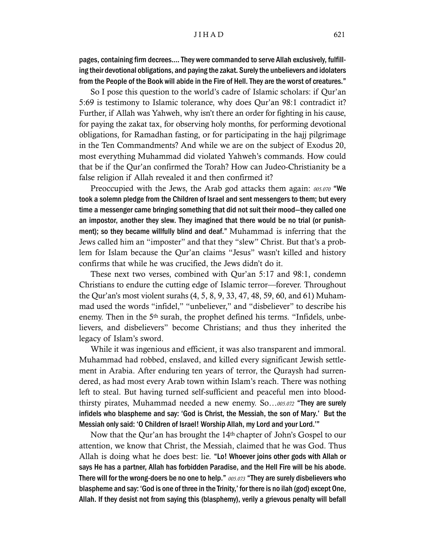pages, containing firm decrees…. They were commanded to serve Allah exclusively, fulfilling their devotional obligations, and paying the zakat. Surely the unbelievers and idolaters from the People of the Book will abide in the Fire of Hell. They are the worst of creatures."

So I pose this question to the world's cadre of Islamic scholars: if Qur'an 5:69 is testimony to Islamic tolerance, why does Qur'an 98:1 contradict it? Further, if Allah was Yahweh, why isn't there an order for fighting in his cause, for paying the zakat tax, for observing holy months, for performing devotional obligations, for Ramadhan fasting, or for participating in the hajj pilgrimage in the Ten Commandments? And while we are on the subject of Exodus 20, most everything Muhammad did violated Yahweh's commands. How could that be if the Qur'an confirmed the Torah? How can Judeo-Christianity be a false religion if Allah revealed it and then confirmed it?

Preoccupied with the Jews, the Arab god attacks them again: *005.070* "We took a solemn pledge from the Children of Israel and sent messengers to them; but every time a messenger came bringing something that did not suit their mood—they called one an impostor, another they slew. They imagined that there would be no trial (or punishment); so they became willfully blind and deaf." Muhammad is inferring that the Jews called him an "imposter" and that they "slew" Christ. But that's a problem for Islam because the Qur'an claims "Jesus" wasn't killed and history confirms that while he was crucified, the Jews didn't do it.

These next two verses, combined with Qur'an 5:17 and 98:1, condemn Christians to endure the cutting edge of Islamic terror—forever. Throughout the Qur'an's most violent surahs (4, 5, 8, 9, 33, 47, 48, 59, 60, and 61) Muhammad used the words "infidel," "unbeliever," and "disbeliever" to describe his enemy. Then in the  $5<sup>th</sup>$  surah, the prophet defined his terms. "Infidels, unbelievers, and disbelievers" become Christians; and thus they inherited the legacy of Islam's sword.

While it was ingenious and efficient, it was also transparent and immoral. Muhammad had robbed, enslaved, and killed every significant Jewish settlement in Arabia. After enduring ten years of terror, the Quraysh had surrendered, as had most every Arab town within Islam's reach. There was nothing left to steal. But having turned self-sufficient and peaceful men into bloodthirsty pirates, Muhammad needed a new enemy. So…*005.072* "They are surely infidels who blaspheme and say: 'God is Christ, the Messiah, the son of Mary.' But the Messiah only said: 'O Children of Israel! Worship Allah, my Lord and your Lord.'"

Now that the Qur'an has brought the 14th chapter of John's Gospel to our attention, we know that Christ, the Messiah, claimed that he was God. Thus Allah is doing what he does best: lie. "Lo! Whoever joins other gods with Allah or says He has a partner, Allah has forbidden Paradise, and the Hell Fire will be his abode. There will for the wrong-doers be no one to help." *005.073* "They are surely disbelievers who blaspheme and say: 'God is one of three in the Trinity,' for there is no ilah (god) except One, Allah. If they desist not from saying this (blasphemy), verily a grievous penalty will befall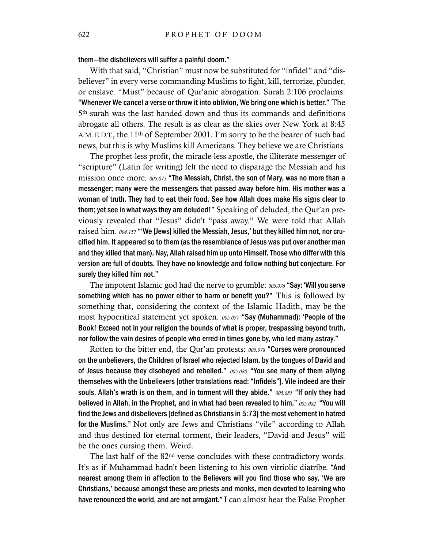them—the disbelievers will suffer a painful doom."

With that said, "Christian" must now be substituted for "infidel" and "disbeliever" in every verse commanding Muslims to fight, kill, terrorize, plunder, or enslave. "Must" because of Qur'anic abrogation. Surah 2:106 proclaims: "Whenever We cancel a verse or throw it into oblivion, We bring one which is better." The 5th surah was the last handed down and thus its commands and definitions abrogate all others. The result is as clear as the skies over New York at 8:45 A.M. E.D.T., the 11<sup>th</sup> of September 2001. I'm sorry to be the bearer of such bad news, but this is why Muslims kill Americans. They believe we are Christians.

The prophet-less profit, the miracle-less apostle, the illiterate messenger of "scripture" (Latin for writing) felt the need to disparage the Messiah and his mission once more. *005.075* "The Messiah, Christ, the son of Mary, was no more than a messenger; many were the messengers that passed away before him. His mother was a woman of truth. They had to eat their food. See how Allah does make His signs clear to them; yet see in what ways they are deluded!" Speaking of deluded, the Qur'an previously revealed that "Jesus" didn't "pass away." We were told that Allah raised him. *004.157* "'We [Jews] killed the Messiah, Jesus,' but they killed him not, nor crucified him. It appeared so to them (as the resemblance of Jesus was put over another man and they killed that man). Nay, Allah raised him up unto Himself. Those who differ with this version are full of doubts. They have no knowledge and follow nothing but conjecture. For surely they killed him not."

The impotent Islamic god had the nerve to grumble: *005.076* "Say: 'Will you serve something which has no power either to harm or benefit you?" This is followed by something that, considering the context of the Islamic Hadith, may be the most hypocritical statement yet spoken. *005.077* "Say (Muhammad): 'People of the Book! Exceed not in your religion the bounds of what is proper, trespassing beyond truth, nor follow the vain desires of people who erred in times gone by, who led many astray."

Rotten to the bitter end, the Qur'an protests: *005.078* "Curses were pronounced on the unbelievers, the Children of Israel who rejected Islam, by the tongues of David and of Jesus because they disobeyed and rebelled." *005.080* "You see many of them allying themselves with the Unbelievers [other translations read: "Infidels"]. Vile indeed are their souls. Allah's wrath is on them, and in torment will they abide." *005.081* "If only they had believed in Allah, in the Prophet, and in what had been revealed to him." *005.082* "You will find the Jews and disbelievers [defined as Christians in 5:73] the most vehement in hatred for the Muslims." Not only are Jews and Christians "vile" according to Allah and thus destined for eternal torment, their leaders, "David and Jesus" will be the ones cursing them. Weird.

The last half of the 82<sup>nd</sup> verse concludes with these contradictory words. It's as if Muhammad hadn't been listening to his own vitriolic diatribe. "And nearest among them in affection to the Believers will you find those who say, 'We are Christians,' because amongst these are priests and monks, men devoted to learning who have renounced the world, and are not arrogant." I can almost hear the False Prophet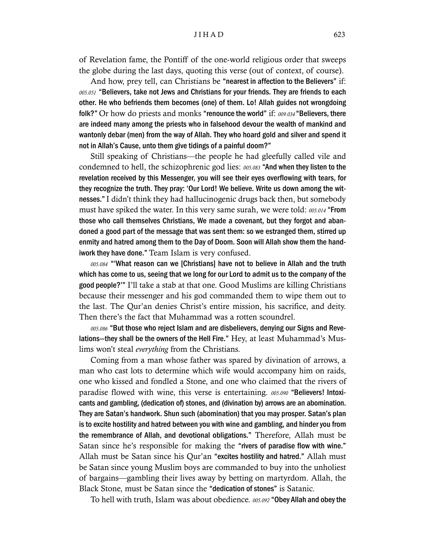of Revelation fame, the Pontiff of the one-world religious order that sweeps the globe during the last days, quoting this verse (out of context, of course).

And how, prey tell, can Christians be "nearest in affection to the Believers" if: *005.051* "Believers, take not Jews and Christians for your friends. They are friends to each other. He who befriends them becomes (one) of them. Lo! Allah guides not wrongdoing folk?" Or how do priests and monks "renounce the world" if: *009.034* "Believers, there are indeed many among the priests who in falsehood devour the wealth of mankind and wantonly debar (men) from the way of Allah. They who hoard gold and silver and spend it not in Allah's Cause, unto them give tidings of a painful doom?"

Still speaking of Christians—the people he had gleefully called vile and condemned to hell, the schizophrenic god lies: *005.083* "And when they listen to the revelation received by this Messenger, you will see their eyes overflowing with tears, for they recognize the truth. They pray: 'Our Lord! We believe. Write us down among the witnesses." I didn't think they had hallucinogenic drugs back then, but somebody must have spiked the water. In this very same surah, we were told: *005.014* "From those who call themselves Christians, We made a covenant, but they forgot and abandoned a good part of the message that was sent them: so we estranged them, stirred up enmity and hatred among them to the Day of Doom. Soon will Allah show them the handiwork they have done." Team Islam is very confused.

*005.084* "'What reason can we [Christians] have not to believe in Allah and the truth which has come to us, seeing that we long for our Lord to admit us to the company of the good people?'" I'll take a stab at that one. Good Muslims are killing Christians because their messenger and his god commanded them to wipe them out to the last. The Qur'an denies Christ's entire mission, his sacrifice, and deity. Then there's the fact that Muhammad was a rotten scoundrel.

*005.086* "But those who reject Islam and are disbelievers, denying our Signs and Revelations—they shall be the owners of the Hell Fire." Hey, at least Muhammad's Muslims won't steal *everything* from the Christians.

Coming from a man whose father was spared by divination of arrows, a man who cast lots to determine which wife would accompany him on raids, one who kissed and fondled a Stone, and one who claimed that the rivers of paradise flowed with wine, this verse is entertaining. *005.090* "Believers! Intoxicants and gambling, (dedication of) stones, and (divination by) arrows are an abomination. They are Satan's handwork. Shun such (abomination) that you may prosper. Satan's plan is to excite hostility and hatred between you with wine and gambling, and hinder you from the remembrance of Allah, and devotional obligations." Therefore, Allah must be Satan since he's responsible for making the "rivers of paradise flow with wine." Allah must be Satan since his Qur'an "excites hostility and hatred." Allah must be Satan since young Muslim boys are commanded to buy into the unholiest of bargains—gambling their lives away by betting on martyrdom. Allah, the Black Stone, must be Satan since the "dedication of stones" is Satanic.

To hell with truth, Islam was about obedience. *005.092* "Obey Allah and obey the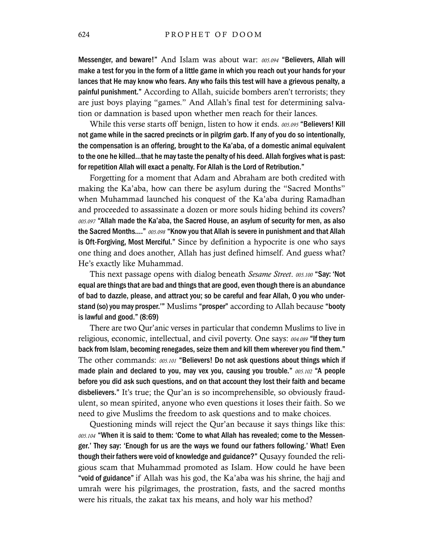Messenger, and beware!" And Islam was about war: *005.094* "Believers, Allah will make a test for you in the form of a little game in which you reach out your hands for your lances that He may know who fears. Any who fails this test will have a grievous penalty, a painful punishment." According to Allah, suicide bombers aren't terrorists; they are just boys playing "games." And Allah's final test for determining salvation or damnation is based upon whether men reach for their lances.

While this verse starts off benign, listen to how it ends. *005.095* "Believers! Kill not game while in the sacred precincts or in pilgrim garb. If any of you do so intentionally, the compensation is an offering, brought to the Ka'aba, of a domestic animal equivalent to the one he killed…that he may taste the penalty of his deed. Allah forgives what is past: for repetition Allah will exact a penalty. For Allah is the Lord of Retribution."

Forgetting for a moment that Adam and Abraham are both credited with making the Ka'aba, how can there be asylum during the "Sacred Months" when Muhammad launched his conquest of the Ka'aba during Ramadhan and proceeded to assassinate a dozen or more souls hiding behind its covers? *005.097* "Allah made the Ka'aba, the Sacred House, an asylum of security for men, as also the Sacred Months…." *005.098* "Know you that Allah is severe in punishment and that Allah is Oft-Forgiving, Most Merciful." Since by definition a hypocrite is one who says one thing and does another, Allah has just defined himself. And guess what? He's exactly like Muhammad.

This next passage opens with dialog beneath *Sesame Street*. *005.100* "Say: 'Not equal are things that are bad and things that are good, even though there is an abundance of bad to dazzle, please, and attract you; so be careful and fear Allah, O you who understand (so) you may prosper.'" Muslims "prosper" according to Allah because "booty is lawful and good." (8:69)

There are two Qur'anic verses in particular that condemn Muslims to live in religious, economic, intellectual, and civil poverty. One says: *004.089* "If they turn back from Islam, becoming renegades, seize them and kill them wherever you find them." The other commands: *005.101* "Believers! Do not ask questions about things which if made plain and declared to you, may vex you, causing you trouble." *005.102* "A people before you did ask such questions, and on that account they lost their faith and became disbelievers." It's true; the Qur'an is so incomprehensible, so obviously fraudulent, so mean spirited, anyone who even questions it loses their faith. So we need to give Muslims the freedom to ask questions and to make choices.

Questioning minds will reject the Qur'an because it says things like this: *005.104* "When it is said to them: 'Come to what Allah has revealed; come to the Messenger.' They say: 'Enough for us are the ways we found our fathers following.' What! Even though their fathers were void of knowledge and guidance?" Qusayy founded the religious scam that Muhammad promoted as Islam. How could he have been "void of guidance" if Allah was his god, the Ka'aba was his shrine, the hajj and umrah were his pilgrimages, the prostration, fasts, and the sacred months were his rituals, the zakat tax his means, and holy war his method?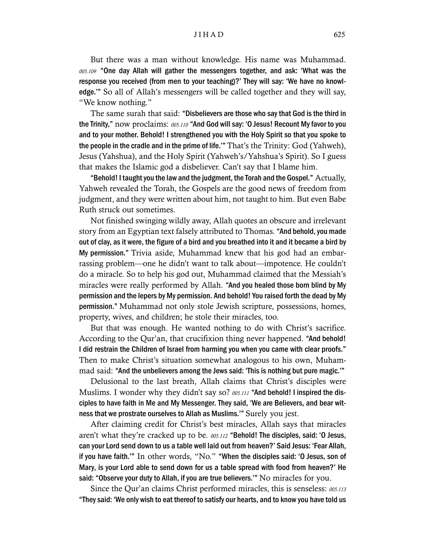But there was a man without knowledge. His name was Muhammad. *005.109* "One day Allah will gather the messengers together, and ask: 'What was the response you received (from men to your teaching)?' They will say: 'We have no knowledge.'" So all of Allah's messengers will be called together and they will say, "We know nothing."

The same surah that said: "Disbelievers are those who say that God is the third in the Trinity," now proclaims: *005.110* "And God will say: 'O Jesus! Recount My favor to you and to your mother. Behold! I strengthened you with the Holy Spirit so that you spoke to the people in the cradle and in the prime of life.'" That's the Trinity: God (Yahweh), Jesus (Yahshua), and the Holy Spirit (Yahweh's/Yahshua's Spirit). So I guess that makes the Islamic god a disbeliever. Can't say that I blame him.

"Behold! I taught you the law and the judgment, the Torah and the Gospel." Actually, Yahweh revealed the Torah, the Gospels are the good news of freedom from judgment, and they were written about him, not taught to him. But even Babe Ruth struck out sometimes.

Not finished swinging wildly away, Allah quotes an obscure and irrelevant story from an Egyptian text falsely attributed to Thomas. "And behold, you made out of clay, as it were, the figure of a bird and you breathed into it and it became a bird by My permission." Trivia aside, Muhammad knew that his god had an embarrassing problem—one he didn't want to talk about—impotence. He couldn't do a miracle. So to help his god out, Muhammad claimed that the Messiah's miracles were really performed by Allah. "And you healed those born blind by My permission and the lepers by My permission. And behold! You raised forth the dead by My permission." Muhammad not only stole Jewish scripture, possessions, homes, property, wives, and children; he stole their miracles, too.

But that was enough. He wanted nothing to do with Christ's sacrifice. According to the Qur'an, that crucifixion thing never happened. "And behold! I did restrain the Children of Israel from harming you when you came with clear proofs." Then to make Christ's situation somewhat analogous to his own, Muhammad said: "And the unbelievers among the Jews said: 'This is nothing but pure magic.'"

Delusional to the last breath, Allah claims that Christ's disciples were Muslims. I wonder why they didn't say so? *005.111* "And behold! I inspired the disciples to have faith in Me and My Messenger. They said, 'We are Believers, and bear witness that we prostrate ourselves to Allah as Muslims.'" Surely you jest.

After claiming credit for Christ's best miracles, Allah says that miracles aren't what they're cracked up to be. *005.112* "Behold! The disciples, said: 'O Jesus, can your Lord send down to us a table well laid out from heaven?' Said Jesus: 'Fear Allah, if you have faith.'" In other words, "No." "When the disciples said: 'O Jesus, son of Mary, is your Lord able to send down for us a table spread with food from heaven?' He said: "Observe your duty to Allah, if you are true believers.'" No miracles for you.

Since the Qur'an claims Christ performed miracles, this is senseless: *005.113* "They said: 'We only wish to eat thereof to satisfy our hearts, and to know you have told us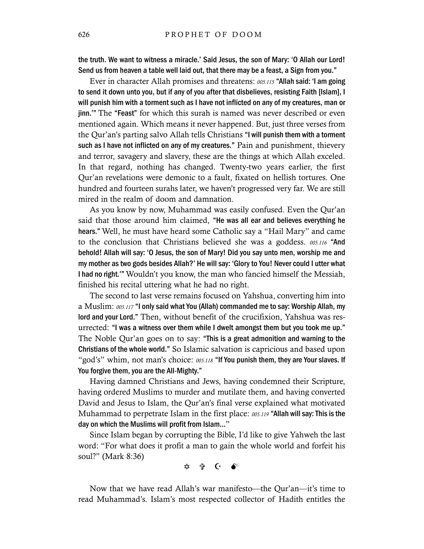the truth. We want to witness a miracle.' Said Jesus, the son of Mary: 'O Allah our Lord! Send us from heaven a table well laid out, that there may be a feast, a Sign from you."

Ever in character Allah promises and threatens: *005.115* "Allah said: 'I am going to send it down unto you, but if any of you after that disbelieves, resisting Faith [Islam], I will punish him with a torment such as I have not inflicted on any of my creatures, man or jinn.'" The "Feast" for which this surah is named was never described or even mentioned again. Which means it never happened. But, just three verses from the Qur'an's parting salvo Allah tells Christians "I will punish them with a torment such as I have not inflicted on any of my creatures." Pain and punishment, thievery and terror, savagery and slavery, these are the things at which Allah exceled. In that regard, nothing has changed. Twenty-two years earlier, the first Qur'an revelations were demonic to a fault, fixated on hellish tortures. One hundred and fourteen surahs later, we haven't progressed very far. We are still mired in the realm of doom and damnation.

As you know by now, Muhammad was easily confused. Even the Qur'an said that those around him claimed, "He was all ear and believes everything he hears." Well, he must have heard some Catholic say a "Hail Mary" and came to the conclusion that Christians believed she was a goddess. *005.116* "And behold! Allah will say: 'O Jesus, the son of Mary! Did you say unto men, worship me and my mother as two gods besides Allah?' He will say: 'Glory to You! Never could I utter what I had no right.'" Wouldn't you know, the man who fancied himself the Messiah, finished his recital uttering what he had no right.

The second to last verse remains focused on Yahshua, converting him into a Muslim: *005.117* "I only said what You (Allah) commanded me to say: Worship Allah, my lord and your Lord." Then, without benefit of the crucifixion, Yahshua was resurrected: "I was a witness over them while I dwelt amongst them but you took me up." The Noble Qur'an goes on to say: "This is a great admonition and warning to the Christians of the whole world." So Islamic salvation is capricious and based upon "god's" whim, not man's choice: *005.118* "If You punish them, they are Your slaves. If You forgive them, you are the All-Mighty."

Having damned Christians and Jews, having condemned their Scripture, having ordered Muslims to murder and mutilate them, and having converted David and Jesus to Islam, the Qur'an's final verse explained what motivated Muhammad to perpetrate Islam in the first place: *005.119* "Allah will say: This is the day on which the Muslims will profit from Islam…"

Since Islam began by corrupting the Bible, I'd like to give Yahweh the last word: "For what does it profit a man to gain the whole world and forfeit his soul?" (Mark 8:36)

 $\hat{\mathbf{x}}$   $\mathbf{h}$   $\mathbf{G}$   $\mathbf{S}^*$ 

Now that we have read Allah's war manifesto—the Qur'an—it's time to read Muhammad's. Islam's most respected collector of Hadith entitles the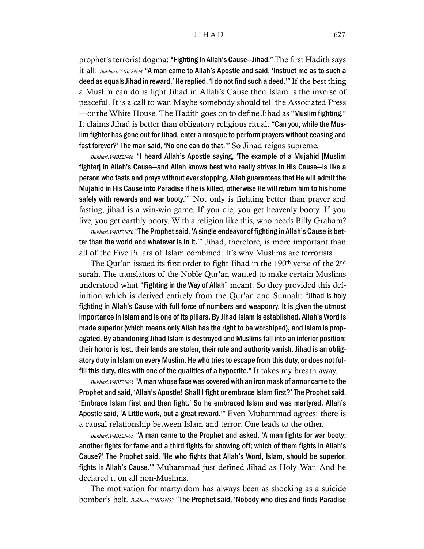prophet's terrorist dogma: "Fighting In Allah's Cause—Jihad." The first Hadith says it all: *Bukhari:V4B52N44* "A man came to Allah's Apostle and said, 'Instruct me as to such a deed as equals Jihad in reward.' He replied, 'I do not find such a deed.'" If the best thing a Muslim can do is fight Jihad in Allah's Cause then Islam is the inverse of peaceful. It is a call to war. Maybe somebody should tell the Associated Press —or the White House. The Hadith goes on to define Jihad as "Muslim fighting." It claims Jihad is better than obligatory religious ritual. "Can you, while the Muslim fighter has gone out for Jihad, enter a mosque to perform prayers without ceasing and fast forever?' The man said, 'No one can do that.'" So Jihad reigns supreme.

*Bukhari:V4B52N46* "I heard Allah's Apostle saying, 'The example of a Mujahid [Muslim fighter] in Allah's Cause—and Allah knows best who really strives in His Cause—is like a person who fasts and prays without ever stopping. Allah guarantees that He will admit the Mujahid in His Cause into Paradise if he is killed, otherwise He will return him to his home safely with rewards and war booty.'" Not only is fighting better than prayer and fasting, jihad is a win-win game. If you die, you get heavenly booty. If you live, you get earthly booty. With a religion like this, who needs Billy Graham?

*Bukhari:V4B52N50* "The Prophet said, 'A single endeavor of fighting in Allah's Cause is better than the world and whatever is in it.'" Jihad, therefore, is more important than all of the Five Pillars of Islam combined. It's why Muslims are terrorists.

The Qur'an issued its first order to fight Jihad in the 190th verse of the 2nd surah. The translators of the Noble Qur'an wanted to make certain Muslims understood what "Fighting in the Way of Allah" meant. So they provided this definition which is derived entirely from the Qur'an and Sunnah: "Jihad is holy fighting in Allah's Cause with full force of numbers and weaponry. It is given the utmost importance in Islam and is one of its pillars. By Jihad Islam is established, Allah's Word is made superior (which means only Allah has the right to be worshiped), and Islam is propagated. By abandoning Jihad Islam is destroyed and Muslims fall into an inferior position; their honor is lost, their lands are stolen, their rule and authority vanish. Jihad is an obligatory duty in Islam on every Muslim. He who tries to escape from this duty, or does not fulfill this duty, dies with one of the qualities of a hypocrite." It takes my breath away.

*Bukhari:V4B52N63* "A man whose face was covered with an iron mask of armor came to the Prophet and said, 'Allah's Apostle! Shall I fight or embrace Islam first?' The Prophet said, 'Embrace Islam first and then fight.' So he embraced Islam and was martyred. Allah's Apostle said, 'A Little work, but a great reward.'" Even Muhammad agrees: there is a causal relationship between Islam and terror. One leads to the other.

*Bukhari:V4B52N65* "A man came to the Prophet and asked, 'A man fights for war booty; another fights for fame and a third fights for showing off; which of them fights in Allah's Cause?' The Prophet said, 'He who fights that Allah's Word, Islam, should be superior, fights in Allah's Cause.'" Muhammad just defined Jihad as Holy War. And he declared it on all non-Muslims.

The motivation for martyrdom has always been as shocking as a suicide bomber's belt. *Bukhari:V4B52N53* "The Prophet said, 'Nobody who dies and finds Paradise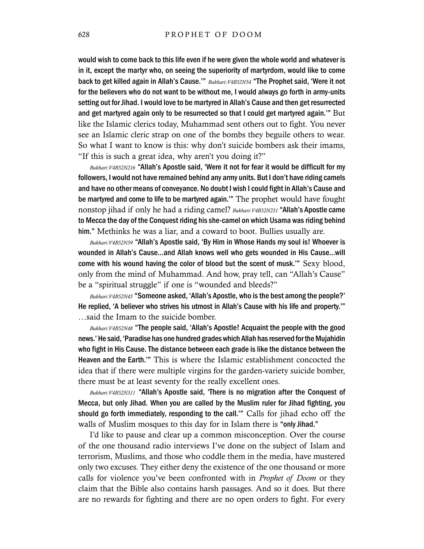would wish to come back to this life even if he were given the whole world and whatever is in it, except the martyr who, on seeing the superiority of martyrdom, would like to come back to get killed again in Allah's Cause.'" *Bukhari:V4B52N54* "The Prophet said, 'Were it not for the believers who do not want to be without me, I would always go forth in army-units setting out for Jihad. I would love to be martyred in Allah's Cause and then get resurrected and get martyred again only to be resurrected so that I could get martyred again.'" But like the Islamic clerics today, Muhammad sent others out to fight. You never see an Islamic cleric strap on one of the bombs they beguile others to wear. So what I want to know is this: why don't suicide bombers ask their imams, "If this is such a great idea, why aren't you doing it?"

*Bukhari:V4B52N216* "Allah's Apostle said, 'Were it not for fear it would be difficult for my followers, I would not have remained behind any army units. But I don't have riding camels and have no other means of conveyance. No doubt I wish I could fight in Allah's Cause and be martyred and come to life to be martyred again.'" The prophet would have fought nonstop jihad if only he had a riding camel? *Bukhari:V4B52N231* "Allah's Apostle came to Mecca the day of the Conquest riding his she-camel on which Usama was riding behind him." Methinks he was a liar, and a coward to boot. Bullies usually are.

*Bukhari:V4B52N59* "Allah's Apostle said, 'By Him in Whose Hands my soul is! Whoever is wounded in Allah's Cause...and Allah knows well who gets wounded in His Cause...will come with his wound having the color of blood but the scent of musk.'" Sexy blood, only from the mind of Muhammad. And how, pray tell, can "Allah's Cause" be a "spiritual struggle" if one is "wounded and bleeds?"

*Bukhari:V4B52N45* "Someone asked, 'Allah's Apostle, who is the best among the people?' He replied, 'A believer who strives his utmost in Allah's Cause with his life and property.'" …said the Imam to the suicide bomber.

*Bukhari:V4B52N48* "The people said, 'Allah's Apostle! Acquaint the people with the good news.' He said, 'Paradise has one hundred grades which Allah has reserved for the Mujahidin who fight in His Cause. The distance between each grade is like the distance between the Heaven and the Earth.'" This is where the Islamic establishment concocted the idea that if there were multiple virgins for the garden-variety suicide bomber, there must be at least seventy for the really excellent ones.

*Bukhari:V4B52N311* "Allah's Apostle said, 'There is no migration after the Conquest of Mecca, but only Jihad. When you are called by the Muslim ruler for Jihad fighting, you should go forth immediately, responding to the call.'" Calls for jihad echo off the walls of Muslim mosques to this day for in Islam there is "only Jihad."

I'd like to pause and clear up a common misconception. Over the course of the one thousand radio interviews I've done on the subject of Islam and terrorism, Muslims, and those who coddle them in the media, have mustered only two excuses. They either deny the existence of the one thousand or more calls for violence you've been confronted with in *Prophet of Doom* or they claim that the Bible also contains harsh passages. And so it does. But there are no rewards for fighting and there are no open orders to fight. For every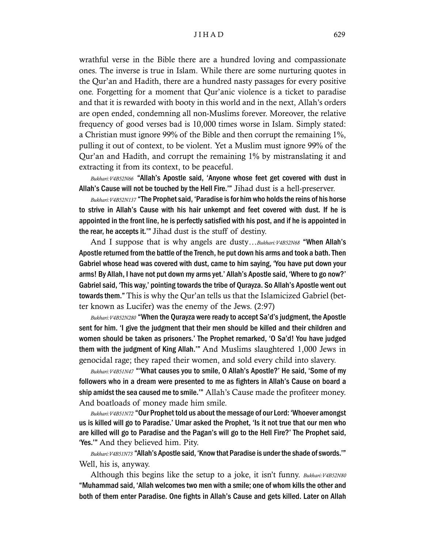wrathful verse in the Bible there are a hundred loving and compassionate ones. The inverse is true in Islam. While there are some nurturing quotes in the Qur'an and Hadith, there are a hundred nasty passages for every positive one. Forgetting for a moment that Qur'anic violence is a ticket to paradise and that it is rewarded with booty in this world and in the next, Allah's orders are open ended, condemning all non-Muslims forever. Moreover, the relative frequency of good verses bad is 10,000 times worse in Islam. Simply stated: a Christian must ignore 99% of the Bible and then corrupt the remaining 1%, pulling it out of context, to be violent. Yet a Muslim must ignore 99% of the Qur'an and Hadith, and corrupt the remaining 1% by mistranslating it and extracting it from its context, to be peaceful.

*Bukhari:V4B52N66* "Allah's Apostle said, 'Anyone whose feet get covered with dust in Allah's Cause will not be touched by the Hell Fire.'" Jihad dust is a hell-preserver.

*Bukhari:V4B52N137* "The Prophet said, 'Paradise is for him who holds the reins of his horse to strive in Allah's Cause with his hair unkempt and feet covered with dust. If he is appointed in the front line, he is perfectly satisfied with his post, and if he is appointed in the rear, he accepts it.'" Jihad dust is the stuff of destiny.

And I suppose that is why angels are dusty...Bukhari:V4B52N68 "When Allah's Apostle returned from the battle of the Trench, he put down his arms and took a bath. Then Gabriel whose head was covered with dust, came to him saying, 'You have put down your arms! By Allah, I have not put down my arms yet.' Allah's Apostle said, 'Where to go now?' Gabriel said, 'This way,' pointing towards the tribe of Qurayza. So Allah's Apostle went out towards them." This is why the Qur'an tells us that the Islamicized Gabriel (better known as Lucifer) was the enemy of the Jews. (2:97)

*Bukhari:V4B52N280* "When the Qurayza were ready to accept Sa'd's judgment, the Apostle sent for him. 'I give the judgment that their men should be killed and their children and women should be taken as prisoners.' The Prophet remarked, 'O Sa'd! You have judged them with the judgment of King Allah.'" And Muslims slaughtered 1,000 Jews in genocidal rage; they raped their women, and sold every child into slavery.

*Bukhari:V4B51N47* "'What causes you to smile, O Allah's Apostle?' He said, 'Some of my followers who in a dream were presented to me as fighters in Allah's Cause on board a ship amidst the sea caused me to smile.'" Allah's Cause made the profiteer money. And boatloads of money made him smile.

*Bukhari:V4B51N72* "Our Prophet told us about the message of our Lord: 'Whoever amongst us is killed will go to Paradise.' Umar asked the Prophet, 'Is it not true that our men who are killed will go to Paradise and the Pagan's will go to the Hell Fire?' The Prophet said, 'Yes.'" And they believed him. Pity.

*Bukhari:V4B51N73* "Allah's Apostle said, 'Know that Paradise is under the shade of swords.'" Well, his is, anyway.

Although this begins like the setup to a joke, it isn't funny. *Bukhari:V4B52N80* "Muhammad said, 'Allah welcomes two men with a smile; one of whom kills the other and both of them enter Paradise. One fights in Allah's Cause and gets killed. Later on Allah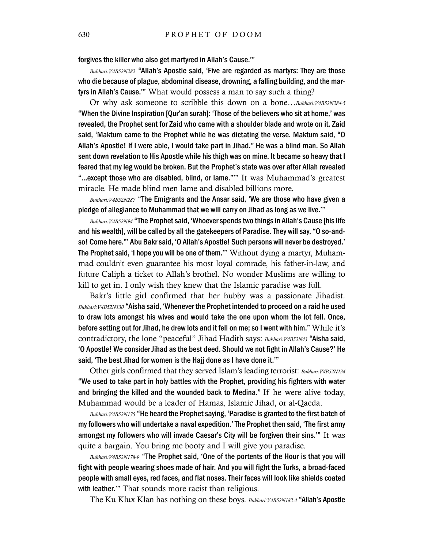forgives the killer who also get martyred in Allah's Cause.'"

*Bukhari:V4B52N282* "Allah's Apostle said, 'Five are regarded as martyrs: They are those who die because of plague, abdominal disease, drowning, a falling building, and the martyrs in Allah's Cause.'" What would possess a man to say such a thing?

Or why ask someone to scribble this down on a bone…*Bukhari:V4B52N284-5* "When the Divine Inspiration [Qur'an surah]: 'Those of the believers who sit at home,' was revealed, the Prophet sent for Zaid who came with a shoulder blade and wrote on it. Zaid said, 'Maktum came to the Prophet while he was dictating the verse. Maktum said, "O Allah's Apostle! If I were able, I would take part in Jihad." He was a blind man. So Allah sent down revelation to His Apostle while his thigh was on mine. It became so heavy that I feared that my leg would be broken. But the Prophet's state was over after Allah revealed "...except those who are disabled, blind, or lame."'" It was Muhammad's greatest miracle. He made blind men lame and disabled billions more.

*Bukhari:V4B52N287* "The Emigrants and the Ansar said, 'We are those who have given a pledge of allegiance to Muhammad that we will carry on Jihad as long as we live.'"

*Bukhari:V4B52N94* "The Prophet said, 'Whoever spends two things in Allah's Cause [his life and his wealth], will be called by all the gatekeepers of Paradise. They will say, "O so-andso! Come here."' Abu Bakr said, 'O Allah's Apostle! Such persons will never be destroyed.' The Prophet said, 'I hope you will be one of them.'" Without dying a martyr, Muhammad couldn't even guarantee his most loyal comrade, his father-in-law, and future Caliph a ticket to Allah's brothel. No wonder Muslims are willing to kill to get in. I only wish they knew that the Islamic paradise was full.

Bakr's little girl confirmed that her hubby was a passionate Jihadist. *Bukhari:V4B52N130* "Aisha said, 'Whenever the Prophet intended to proceed on a raid he used to draw lots amongst his wives and would take the one upon whom the lot fell. Once, before setting out for Jihad, he drew lots and it fell on me; so I went with him." While it's contradictory, the lone "peaceful" Jihad Hadith says: **Bukhari:V4B52N43** "Aisha said, 'O Apostle! We consider Jihad as the best deed. Should we not fight in Allah's Cause?' He said, 'The best Jihad for women is the Hajj done as I have done it.'"

Other girls confirmed that they served Islam's leading terrorist: *Bukhari:V4B52N134* "We used to take part in holy battles with the Prophet, providing his fighters with water and bringing the killed and the wounded back to Medina." If he were alive today, Muhammad would be a leader of Hamas, Islamic Jihad, or al-Qaeda.

*Bukhari:V4B52N175* "He heard the Prophet saying, 'Paradise is granted to the first batch of my followers who will undertake a naval expedition.' The Prophet then said, 'The first army amongst my followers who will invade Caesar's City will be forgiven their sins.'" It was quite a bargain. You bring me booty and I will give you paradise.

*Bukhari:V4B52N178-9* "The Prophet said, 'One of the portents of the Hour is that you will fight with people wearing shoes made of hair. And you will fight the Turks, a broad-faced people with small eyes, red faces, and flat noses. Their faces will look like shields coated with leather.<sup>"</sup> That sounds more racist than religious.

The Ku Klux Klan has nothing on these boys. *Bukhari:V4B52N182-4* "Allah's Apostle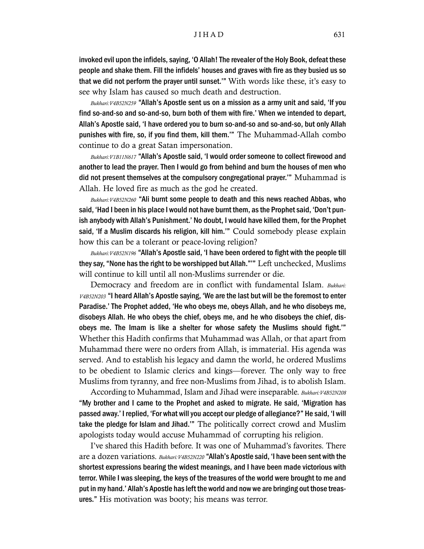invoked evil upon the infidels, saying, 'O Allah! The revealer of the Holy Book, defeat these people and shake them. Fill the infidels' houses and graves with fire as they busied us so that we did not perform the prayer until sunset.'" With words like these, it's easy to see why Islam has caused so much death and destruction.

*Bukhari:V4B52N259* "Allah's Apostle sent us on a mission as a army unit and said, 'If you find so-and-so and so-and-so, burn both of them with fire.' When we intended to depart, Allah's Apostle said, 'I have ordered you to burn so-and-so and so-and-so, but only Allah punishes with fire, so, if you find them, kill them.'" The Muhammad-Allah combo continue to do a great Satan impersonation.

*Bukhari:V1B11N617* "Allah's Apostle said, 'I would order someone to collect firewood and another to lead the prayer. Then I would go from behind and burn the houses of men who did not present themselves at the compulsory congregational prayer.'" Muhammad is Allah. He loved fire as much as the god he created.

*Bukhari:V4B52N260* "Ali burnt some people to death and this news reached Abbas, who said, 'Had I been in his place I would not have burnt them, as the Prophet said, 'Don't punish anybody with Allah's Punishment.' No doubt, I would have killed them, for the Prophet said, 'If a Muslim discards his religion, kill him.'" Could somebody please explain how this can be a tolerant or peace-loving religion?

*Bukhari:V4B52N196* "Allah's Apostle said, 'I have been ordered to fight with the people till they say, "None has the right to be worshipped but Allah."'" Left unchecked, Muslims will continue to kill until all non-Muslims surrender or die.

Democracy and freedom are in conflict with fundamental Islam. *Bukhari: V4B52N203* "I heard Allah's Apostle saying, 'We are the last but will be the foremost to enter Paradise.' The Prophet added, 'He who obeys me, obeys Allah, and he who disobeys me, disobeys Allah. He who obeys the chief, obeys me, and he who disobeys the chief, disobeys me. The Imam is like a shelter for whose safety the Muslims should fight.'" Whether this Hadith confirms that Muhammad was Allah, or that apart from Muhammad there were no orders from Allah, is immaterial. His agenda was served. And to establish his legacy and damn the world, he ordered Muslims to be obedient to Islamic clerics and kings—forever. The only way to free Muslims from tyranny, and free non-Muslims from Jihad, is to abolish Islam.

According to Muhammad, Islam and Jihad were inseparable. *Bukhari:V4B52N208* "My brother and I came to the Prophet and asked to migrate. He said, 'Migration has passed away.' I replied, 'For what will you accept our pledge of allegiance?" He said, 'I will take the pledge for Islam and Jihad.'" The politically correct crowd and Muslim apologists today would accuse Muhammad of corrupting his religion.

I've shared this Hadith before. It was one of Muhammad's favorites. There are a dozen variations. *Bukhari:V4B52N220* "Allah's Apostle said, 'I have been sent with the shortest expressions bearing the widest meanings, and I have been made victorious with terror. While I was sleeping, the keys of the treasures of the world were brought to me and put in my hand.' Allah's Apostle has left the world and now we are bringing out those treasures." His motivation was booty; his means was terror.